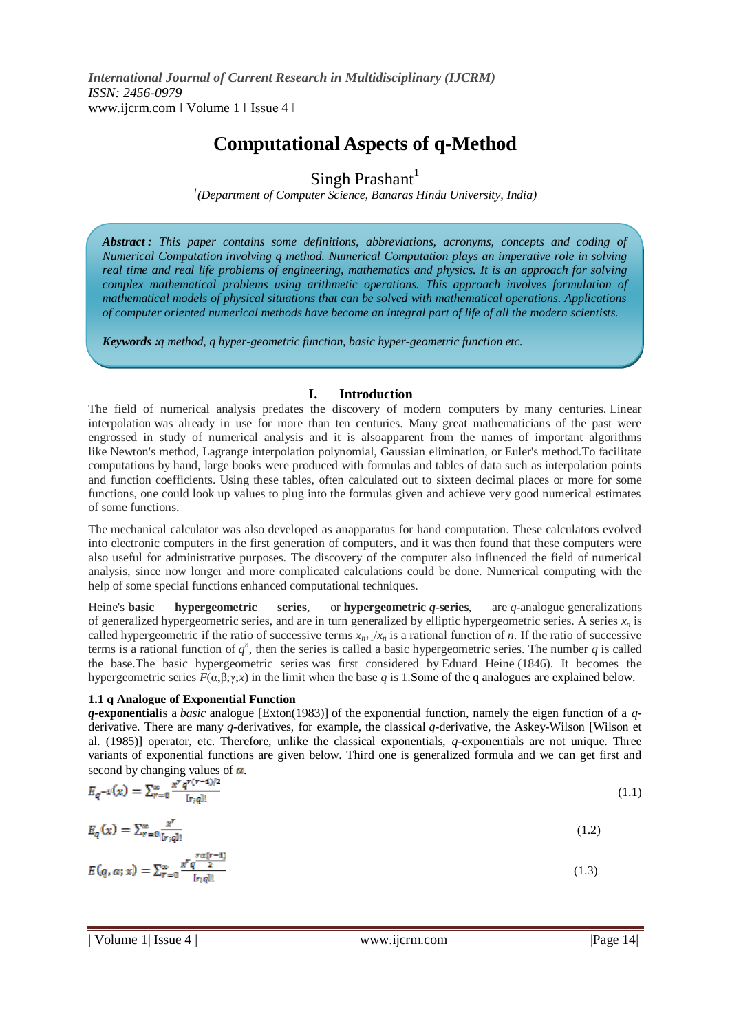# **Computational Aspects of q-Method**

Singh Prashant $<sup>1</sup>$ </sup>

*1 (Department of Computer Science, Banaras Hindu University, India)* 

*Abstract : This paper contains some definitions, abbreviations, acronyms, concepts and coding of Numerical Computation involving q method. Numerical Computation plays an imperative role in solving real time and real life problems of engineering, mathematics and physics. It is an approach for solving complex mathematical problems using arithmetic operations. This approach involves formulation of mathematical models of physical situations that can be solved with mathematical operations. Applications of computer oriented numerical methods have become an integral part of life of all the modern scientists.*

*Keywords :q method, q hyper-geometric function, basic hyper-geometric function etc.*

### **I. Introduction**

The field of numerical analysis predates the discovery of modern computers by many centuries. Linear interpolation was already in use for more than ten centuries. Many great mathematicians of the past were engrossed in study of numerical analysis and it is alsoapparent from the names of important algorithms like Newton's method, Lagrange interpolation polynomial, Gaussian elimination, or Euler's method.To facilitate computations by hand, large books were produced with formulas and tables of data such as interpolation points and function coefficients. Using these tables, often calculated out to sixteen decimal places or more for some functions, one could look up values to plug into the formulas given and achieve very good numerical estimates of some functions.

The mechanical calculator was also developed as anapparatus for hand computation. These calculators evolved into electronic computers in the first generation of computers, and it was then found that these computers were also useful for administrative purposes. The discovery of the computer also influenced the field of numerical analysis, since now longer and more complicated calculations could be done. Numerical computing with the help of some special functions enhanced computational techniques.

Heine's **basic hypergeometric series**, or **hypergeometric** *q***-series**, are *q*-analogue generalizations of generalized hypergeometric series, and are in turn generalized by elliptic hypergeometric series. A series  $x<sub>n</sub>$  is called hypergeometric if the ratio of successive terms  $x_{n+1}/x_n$  is a rational function of *n*. If the ratio of successive terms is a rational function of  $q^n$ , then the series is called a basic hypergeometric series. The number  $q$  is called the base.The basic hypergeometric series was first considered by Eduard Heine (1846). It becomes the hypergeometric series  $F(\alpha, \beta, \gamma; x)$  in the limit when the base q is 1.Some of the q analogues are explained below.

### **1.1 q Analogue of Exponential Function**

*q-***exponential**is a *basic* analogue [Exton(1983)] of the exponential function, namely the eigen function of a *q*derivative. There are many *q-*derivatives, for example, the classical *q-*derivative, the Askey-Wilson [Wilson et al. (1985)] operator, etc. Therefore, unlike the classical exponentials, *q-*exponentials are not unique. Three variants of exponential functions are given below. Third one is generalized formula and we can get first and second by changing values of  $\alpha$ .

$$
E_q^{-1}(x) = \sum_{r=0}^{\infty} \frac{x^r q^{r(r-1)/2}}{[r;q]!}
$$
  
\n
$$
E_q(x) = \sum_{r=0}^{\infty} \frac{x^r}{[r;q]!}
$$
  
\n
$$
E(q, \alpha; x) = \sum_{r=0}^{\infty} \frac{x^r q^{\frac{r\alpha(r-1)}{2}}}{[r;q]!}
$$
  
\n(1.2)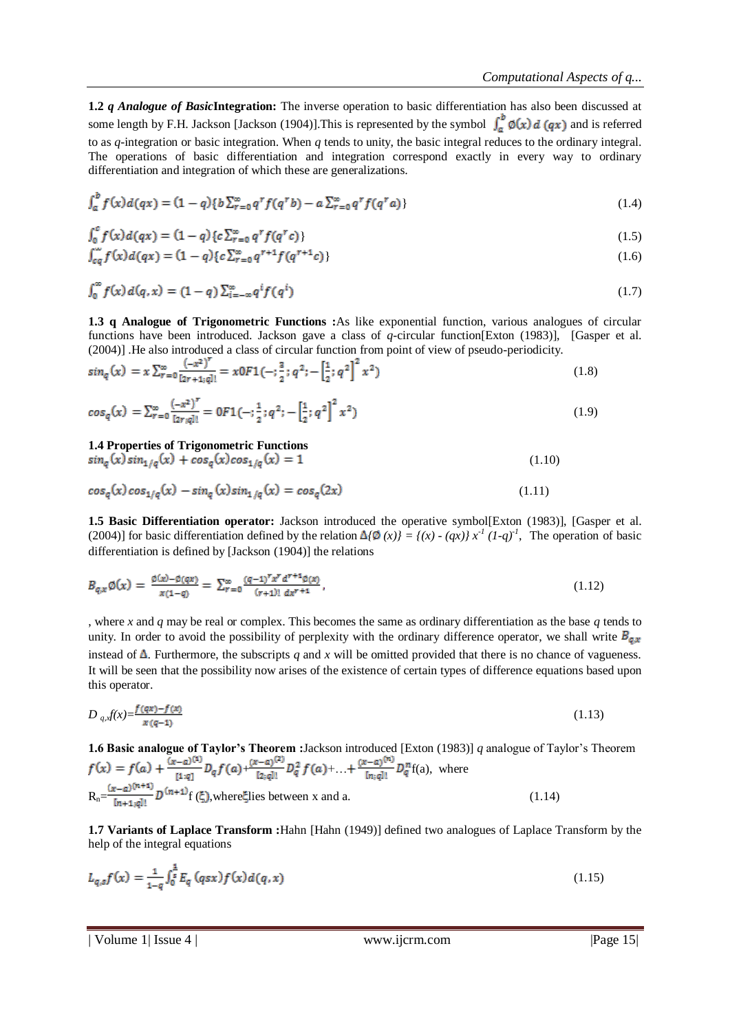**1.2** *q Analogue of Basic***Integration:** The inverse operation to basic differentiation has also been discussed at some length by F.H. Jackson [Jackson (1904)]. This is represented by the symbol  $\int_a^b \phi(x) d(\alpha x)$  and is referred to as *q-*integration or basic integration. When *q* tends to unity, the basic integral reduces to the ordinary integral. The operations of basic differentiation and integration correspond exactly in every way to ordinary differentiation and integration of which these are generalizations.

$$
\int_{a}^{b} f(x) d(qx) = (1 - q) \{ b \sum_{r=0}^{\infty} q^{r} f(q^{r}b) - a \sum_{r=0}^{\infty} q^{r} f(q^{r}a) \}
$$
\n(1.4)

$$
\int_0^c f(x) d(qx) = (1 - q) \{ c \sum_{r=0}^\infty q^r f(q^r c) \}
$$
\n(1.5)

$$
\int_{cq} f(x) d(qx) = (1 - q) \{ c \sum_{r=0}^{\infty} q^{r+1} f(q^{r+1} c) \}
$$
\n(1.6)

$$
\int_0^\infty f(x) d(q, x) = (1 - q) \sum_{i = -\infty}^\infty q^i f(q^i)
$$
\n(1.7)

**1.3 q Analogue of Trigonometric Functions :**As like exponential function, various analogues of circular functions have been introduced. Jackson gave a class of *q-*circular function[Exton (1983)], [Gasper et al. (2004)] .He also introduced a class of circular function from point of view of pseudo-periodicity.

$$
sin_q(x) = x \sum_{r=0}^{\infty} \frac{(-x^2)^r}{(2r+1;q)!} = x0F1(-;\frac{3}{2};q^2;-\left[\frac{1}{2};q^2\right]^2 x^2)
$$
\n(1.8)

$$
\cos_q(x) = \sum_{r=0}^{\infty} \frac{(-x^2)^r}{[2r;q]!} = 0F1(-;\frac{1}{2};q^2; -\left[\frac{1}{2};q^2\right]^2 x^2)
$$
\n(1.9)

#### **1.4 Properties of Trigonometric Functions**

$$
\sin_q(x)\sin_{1/q}(x) + \cos_q(x)\cos_{1/q}(x) = 1\tag{1.10}
$$

$$
\cos_q(x)\cos_{1/q}(x) - \sin_q(x)\sin_{1/q}(x) = \cos_q(2x)
$$
\n(1.11)

**1.5 Basic Differentiation operator:** Jackson introduced the operative symbol[Exton (1983)], [Gasper et al. (2004)] for basic differentiation defined by the relation  $\Delta/\Phi(x) = \{(x) - (qx)\} x^{-1} (1-q)^{-1}$ , The operation of basic differentiation is defined by [Jackson (1904)] the relations

$$
B_{q,x}\emptyset(x) = \frac{\emptyset(x) - \emptyset(qx)}{x(1-q)} = \sum_{r=0}^{\infty} \frac{(q-1)^r x^r d^{r+1} \emptyset(x)}{(r+1)! \ dx^{r+1}},
$$
\n(1.12)

, where *x* and *q* may be real or complex. This becomes the same as ordinary differentiation as the base *q* tends to unity. In order to avoid the possibility of perplexity with the ordinary difference operator, we shall write  $B_{g,x}$ instead of  $\Delta$ . Furthermore, the subscripts *q* and *x* will be omitted provided that there is no chance of vagueness. It will be seen that the possibility now arises of the existence of certain types of difference equations based upon this operator.

$$
D_{q,x}f(x) = \frac{f(qx) - f(x)}{x(q-1)}\tag{1.13}
$$

**1.6 Basic analogue of Taylor's Theorem :**Jackson introduced [Exton (1983)] *q* analogue of Taylor's Theorem  $+\frac{(n-1)}{n-1}D_q^2 f(a)+...+\frac{(n-1)}{n-1}D_q^m f(a)$ , where  $R_n = \frac{(x-a)^{(n+1)}}{[n+1,a]!} D^{(n+1)} f(\xi)$ , where lies between x and a. (1.14)

**1.7 Variants of Laplace Transform :**Hahn [Hahn (1949)] defined two analogues of Laplace Transform by the help of the integral equations

$$
L_{q,s}f(x) = \frac{1}{1-q} \int_0^{\frac{1}{s}} E_q(qsx) f(x) d(q,x)
$$
\n(1.15)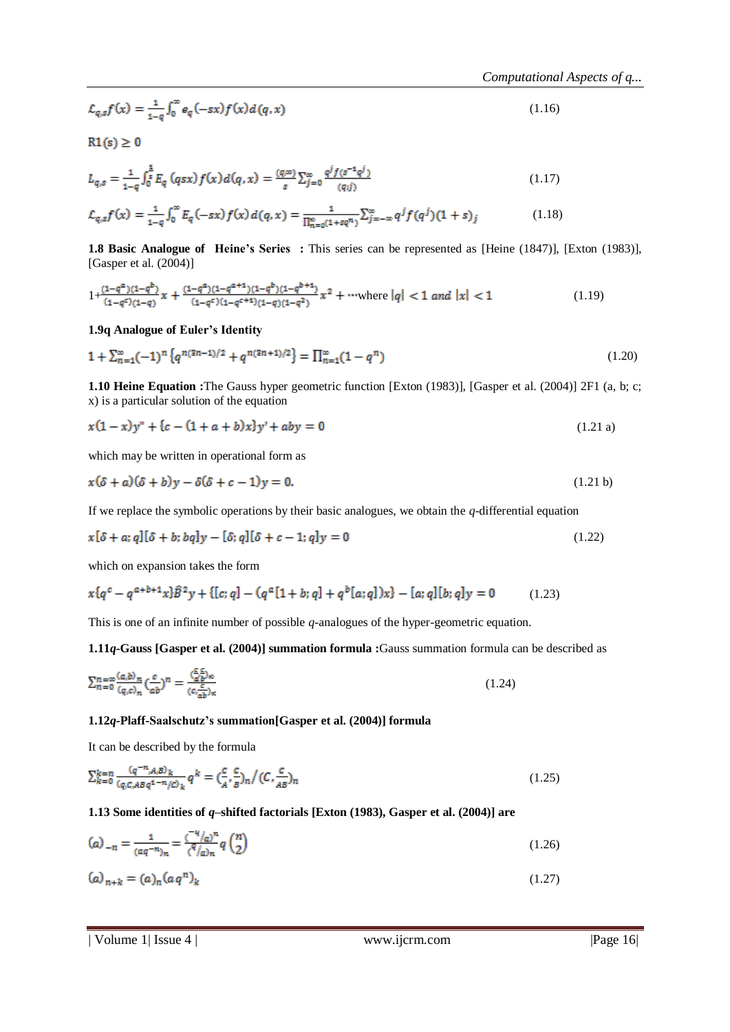$$
\mathcal{L}_{q,s}f(x) = \frac{1}{1-q} \int_0^\infty e_q(-sx) f(x) d(q,x) \tag{1.16}
$$

 $R1(s) \geq 0$ 

$$
L_{q,s} = \frac{1}{1-q} \int_0^{\frac{1}{s}} E_q \left( qsx \right) f(x) d(q,x) = \frac{(q,\infty)}{s} \sum_{j=0}^{\infty} \frac{q^j f(s^{-1}q^j)}{(q,j)}
$$
(1.17)

$$
\mathcal{L}_{q,s}f(x) = \frac{1}{1-q} \int_0^\infty E_q(-sx) f(x) d(q,x) = \frac{1}{\prod_{n=0}^\infty (1+sq^n)} \sum_{j=-\infty}^\infty q^j f(q^j) (1+s)_j \tag{1.18}
$$

**1.8 Basic Analogue of Heine's Series :** This series can be represented as [Heine (1847)], [Exton (1983)], [Gasper et al. (2004)]

$$
1 + \frac{(1 - q^{\alpha})(1 - q^{b})}{(1 - q^c)(1 - q)} x + \frac{(1 - q^{\alpha})(1 - q^{\alpha + 1})(1 - q^{b})(1 - q^{b + 1})}{(1 - q^c)(1 - q^{c + 1})(1 - q)(1 - q^2)} x^2 + \cdots \text{where } |q| < 1 \text{ and } |x| < 1 \tag{1.19}
$$

#### **1.9q Analogue of Euler's Identity**

$$
1 + \sum_{n=1}^{\infty} (-1)^n \left\{ q^{n(3n-1)/2} + q^{n(3n+1)/2} \right\} = \prod_{n=1}^{\infty} (1 - q^n)
$$
 (1.20)

**1.10 Heine Equation :**The Gauss hyper geometric function [Exton (1983)], [Gasper et al. (2004)] 2F1 (a, b; c; x) is a particular solution of the equation

$$
x(1-x)y'' + {c - (1+a+b)x}y' + aby = 0
$$
\n(1.21 a)

which may be written in operational form as

$$
x(\delta + a)(\delta + b)y - \delta(\delta + c - 1)y = 0. \tag{1.21 b}
$$

If we replace the symbolic operations by their basic analogues, we obtain the *q-*differential equation

$$
x[\delta + a; q][\delta + b; bq]y - [\delta; q][\delta + c - 1; q]y = 0
$$
\n(1.22)

which on expansion takes the form

$$
x\{q^c-q^{a+b+1}x\}\hat{B}^2y+\{[c;q]-\big(q^a[1+b;q]+q^b[a;q]\big)x\}-[a;q][b;q]y=0\qquad \quad (1.23)
$$

This is one of an infinite number of possible *q-*analogues of the hyper-geometric equation.

**1.11***q-***Gauss [Gasper et al. (2004)] summation formula :**Gauss summation formula can be described as

$$
\sum_{n=0}^{n=\infty} \frac{(a,b)_n}{(q,c)_n} \left(\frac{c}{ab}\right)^n = \frac{\left(\frac{c}{a'b}\right)_{\infty}}{(c\frac{c}{ab})_{\infty}}
$$
\n(1.24)

#### **1.12***q-***Plaff-Saalschutz's summation[Gasper et al. (2004)] formula**

It can be described by the formula

$$
\sum_{k=0}^{k=n} \frac{(q^{-n}, A, B)_k}{(q, c, ABq^{1-n}/c)_k} q^k = \left(\frac{c}{A}, \frac{c}{B}\right)_n / (C, \frac{c}{AB})_n \tag{1.25}
$$

#### **1.13 Some identities of** *q***–shifted factorials [Exton (1983), Gasper et al. (2004)] are**

$$
(a)_{-n} = \frac{1}{(aq^{-n})_n} = \frac{(-q/q)^n}{(q/q)_n} q\binom{n}{2}
$$
\n(1.26)

$$
(a)_{n+k} = (a)_n (aq^n)_k
$$
 (1.27)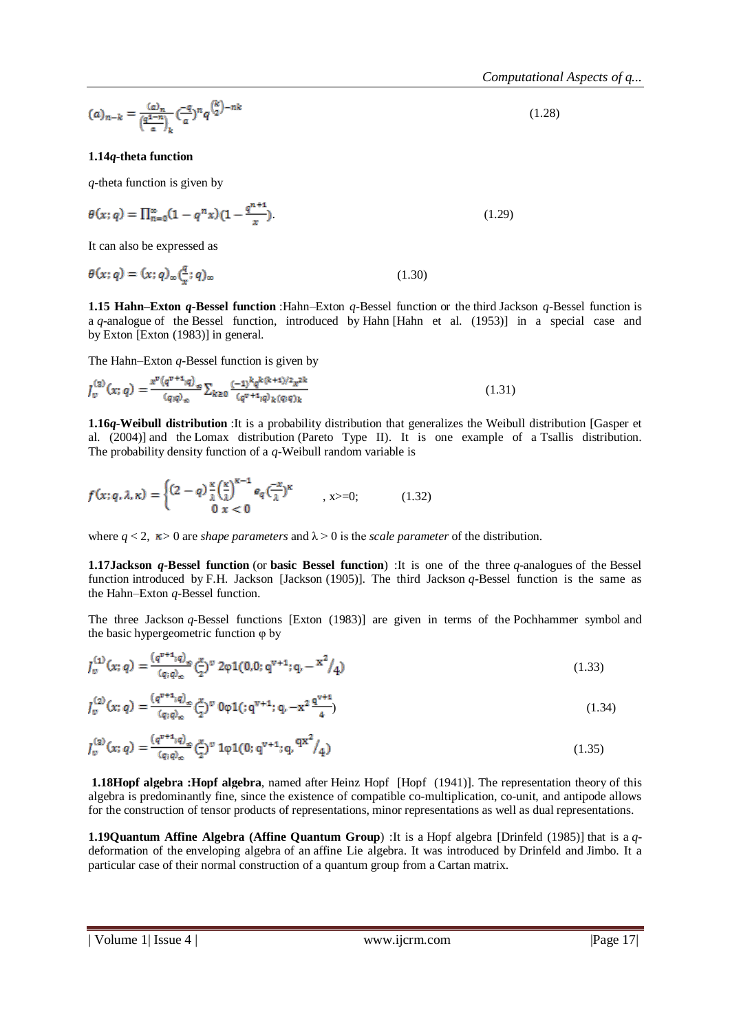$$
(a)_{n-k} = \frac{(a)_n}{\left(\frac{q^2 - n}{a}\right)_k} \left(\frac{-q}{a}\right)^n q^{\binom{k}{2} - nk} \tag{1.28}
$$

#### **1.14***q-***theta function**

*q-*theta function is given by

$$
\theta(x;q) = \prod_{n=0}^{\infty} (1 - q^n x)(1 - \frac{q^{n+1}}{x})
$$
\n(1.29)

It can also be expressed as

$$
\theta(x;q) = (x;q)_{\infty} \left(\frac{q}{x};q\right)_{\infty} \tag{1.30}
$$

**1.15 Hahn–Exton** *q-***Bessel function** :Hahn–Exton *q-*Bessel function or the third Jackson *q-*Bessel function is a *q-*analogue of the Bessel function, introduced by Hahn [Hahn et al. (1953)] in a special case and by Exton [Exton (1983)] in general.

The Hahn–Exton *q-*Bessel function is given by

$$
J_{v}^{(2)}(x;q) = \frac{x^{v}(q^{v+1};q)_{\infty}}{(q;q)_{\infty}} \sum_{k \ge 0} \frac{(-1)^{k}q^{k(k+1)/2}x^{2k}}{(q^{v+1};q)_{k}(q;q)_{k}} \tag{1.31}
$$

**1.16***q-***Weibull distribution** :It is a probability distribution that generalizes the Weibull distribution [Gasper et al. (2004)] and the Lomax distribution (Pareto Type II). It is one example of a Tsallis distribution. The probability density function of a *q-*Weibull random variable is

$$
f(x;q,\lambda,\kappa) = \begin{cases} (2-q)\frac{\kappa}{\lambda}\left(\frac{\kappa}{\lambda}\right)^{\kappa-1}e_q\left(\frac{-x}{\lambda}\right)^{\kappa} & , x>=0; \\ 0 & x<0 \end{cases}
$$
 (1.32)

where  $q < 2$ ,  $\kappa > 0$  are *shape parameters* and  $\lambda > 0$  is the *scale parameter* of the distribution.

**1.17Jackson** *q-***Bessel function** (or **basic Bessel function**) :It is one of the three *q-*analogues of the Bessel function introduced by F.H. Jackson [Jackson (1905)]. The third Jackson *q-*Bessel function is the same as the Hahn–Exton *q-*Bessel function.

The three Jackson *q-*Bessel functions [Exton (1983)] are given in terms of the Pochhammer symbol and the basic hypergeometric function φ by

$$
J_v^{(1)}(x;q) = \frac{(q^{v+1};q)_\infty}{(q;q)_\infty} (\xi)^v 2\varphi 1(0,0;q^{v+1};q,-x^2/4)
$$
\n(1.33)

$$
J_{\nu}^{(2)}(x;q) = \frac{(q^{\nu+1};q)_{\infty}}{(q;q)_{\infty}} \left(\frac{x}{2}\right)^{\nu} 0 \varphi 1(:,q^{\nu+1};q,-x^2 \frac{q^{\nu+1}}{4})
$$
\n(1.34)

$$
J_{\nu}^{(2)}(x;q) = \frac{(q^{\nu+1};q)_{\infty}}{(q;q)_{\infty}} \left(\frac{x}{2}\right)^{\nu} 1 \varphi 1(0;q^{\nu+1};q, \frac{qx^2}{4})
$$
\n(1.35)

**1.18Hopf algebra :Hopf algebra**, named after Heinz Hopf [Hopf (1941)]. The representation theory of this algebra is predominantly fine, since the existence of compatible co-multiplication, co-unit, and antipode allows for the construction of tensor products of representations, minor representations as well as dual representations.

**1.19Quantum Affine Algebra (Affine Quantum Group**) :It is a Hopf algebra [Drinfeld (1985)] that is a *q*deformation of the enveloping algebra of an affine Lie algebra. It was introduced by Drinfeld and Jimbo. It a particular case of their normal construction of a quantum group from a Cartan matrix.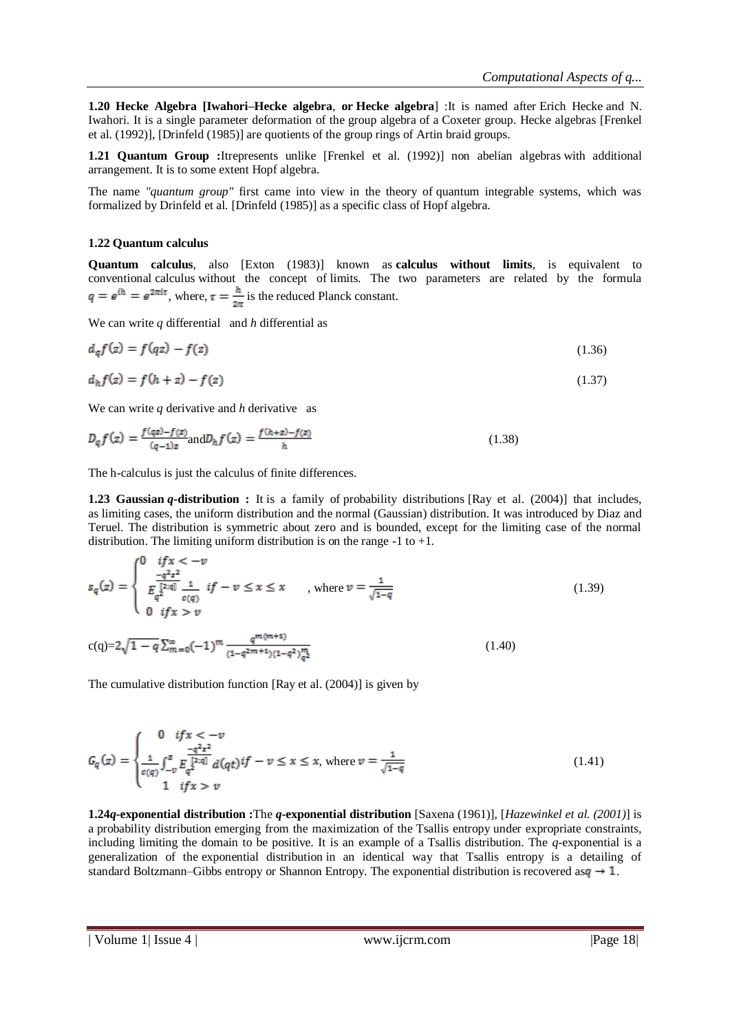**1.20 Hecke Algebra [Iwahori–Hecke algebra**, **or Hecke algebra**] :It is named after Erich Hecke and N. Iwahori. It is a single parameter deformation of the group algebra of a Coxeter group. Hecke algebras [Frenkel et al. (1992)], [Drinfeld (1985)] are quotients of the group rings of Artin braid groups.

**1.21 Quantum Group :**Itrepresents unlike [Frenkel et al. (1992)] non abelian algebras with additional arrangement. It is to some extent Hopf algebra.

The name *"quantum group"* first came into view in the theory of quantum integrable systems, which was formalized by Drinfeld et al. [Drinfeld (1985)] as a specific class of Hopf algebra.

### **1.22 Quantum calculus**

**Quantum calculus**, also [Exton (1983)] known as **calculus without limits**, is equivalent to conventional calculus without the concept of limits. The two parameters are related by the formula  $q = e^{i\hbar} = e^{2\pi i\tau}$ , where,  $\tau = \frac{\hbar}{2\pi}$  is the reduced Planck constant.

We can write *q* differential and *h* differential as

$$
d_q f(z) = f(qz) - f(z)
$$
 (1.36)

$$
d_h f(z) = f(h + z) - f(z) \tag{1.37}
$$

We can write *q* derivative and *h* derivative as

$$
D_q f(z) = \frac{f(qz) - f(z)}{(q-1)z} \text{ and } D_h f(z) = \frac{f(h+z) - f(z)}{h}
$$
 (1.38)

The h-calculus is just the calculus of finite differences.

**1.23 Gaussian** *q-***distribution :** It is a family of probability distributions [Ray et al. (2004)] that includes, as limiting cases, the uniform distribution and the normal (Gaussian) distribution. It was introduced by Diaz and Teruel. The distribution is symmetric about zero and is bounded, except for the limiting case of the normal distribution. The limiting uniform distribution is on the range  $-1$  to  $+1$ .

$$
s_q(z) = \begin{cases} 0 & if x < -v \\ \frac{-q^2 z^2}{\int_{q^2}^{\lfloor 2a \rfloor} \frac{1}{c(q)} & if -v \le x \le x \\ 0 & if x > v \end{cases}, \text{ where } v = \frac{1}{\sqrt{1-q}} \tag{1.39}
$$

$$
c(q)=2\sqrt{1-q}\sum_{m=0}^{\infty}(-1)^{m}\frac{q^{m(m+1)}}{(1-q^{2m+1})(1-q^{2})_{q^{2}}^{m}}
$$
\n(1.40)

The cumulative distribution function [Ray et al. (2004)] is given by

$$
G_q(z) = \begin{cases} 0 & if x < -v \\ \frac{-q^2 z^2}{c(q)} \int_{-v}^z \frac{q^2 z^2}{l_q^{2\times q}} d(qt) if -v \le x \le x, \text{ where } v = \frac{1}{\sqrt{1-q}} \\ 1 & if x > v \end{cases}
$$
(1.41)

**1.24***q-***exponential distribution :**The *q-***exponential distribution** [Saxena (1961)], [*Hazewinkel et al. (2001)*] is a probability distribution emerging from the maximization of the Tsallis entropy under expropriate constraints, including limiting the domain to be positive. It is an example of a Tsallis distribution. The *q-*exponential is a generalization of the exponential distribution in an identical way that Tsallis entropy is a detailing of standard Boltzmann–Gibbs entropy or Shannon Entropy. The exponential distribution is recovered as  $q \rightarrow 1$ .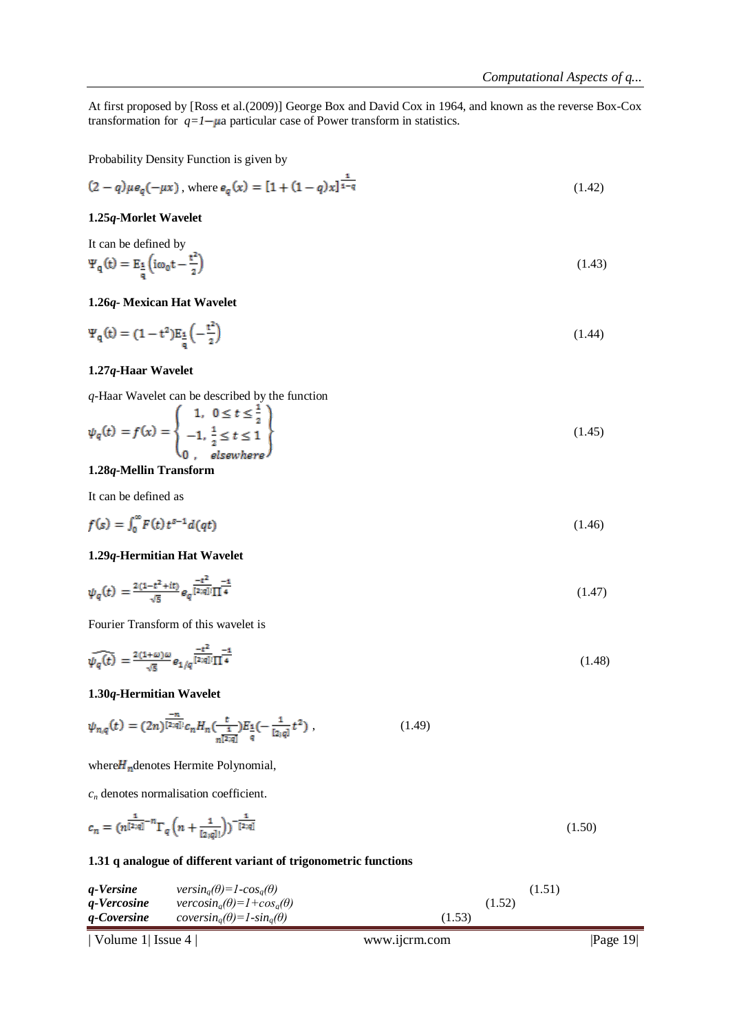At first proposed by [Ross et al.(2009)] George Box and David Cox in 1964, and known as the reverse Box-Cox transformation for  $q=1-\mu a$  particular case of Power transform in statistics.

Probability Density Function is given by

$$
(2 - q)\mu e_q(-\mu x), \text{ where } e_q(x) = [1 + (1 - q)x]^{\frac{1}{1 - q}} \tag{1.42}
$$

#### **1.25***q***-Morlet Wavelet**

It can be defined by  
\n
$$
\Psi_{\mathbf{q}}(\mathbf{t}) = \mathbf{E}_{\frac{1}{\mathbf{q}}} \left( i\omega_{0}\mathbf{t} - \frac{\mathbf{t}^{2}}{2} \right)
$$
\n(1.43)

#### **1.26***q-* **Mexican Hat Wavelet**

$$
\Psi_{\mathbf{q}}(\mathbf{t}) = (1 - \mathbf{t}^2) \mathbf{E}_{\frac{1}{\mathbf{q}}} \left( -\frac{\mathbf{t}^2}{2} \right) \tag{1.44}
$$

#### **1.27***q-***Haar Wavelet**

*q-*Haar Wavelet can be described by the function

$$
\psi_q(t) = f(x) = \begin{cases} 1, & 0 \le t \le \frac{1}{2} \\ -1, & \frac{1}{2} \le t \le 1 \\ 0, & \text{elsewhere} \end{cases}
$$
\n(1.45)

### **1.28***q-***Mellin Transform**

It can be defined as

$$
f(s) = \int_0^\infty F(t) t^{s-1} d(qt) \tag{1.46}
$$

#### **1.29***q-***Hermitian Hat Wavelet**

$$
\psi_q(t) = \frac{2(1-t^2+it)}{\sqrt{5}} e_q^{\frac{-t^2}{[2;q]!}} \frac{-t}{\prod 4}
$$
\n(1.47)

Fourier Transform of this wavelet is

$$
\widehat{\psi_q(t)} = \frac{2(1+\omega)\omega}{\sqrt{5}} e_{1/q} \frac{-t^2}{[2;q]!} \frac{-1}{\prod 4}
$$
\n(1.48)

#### **1.30***q-***Hermitian Wavelet**

$$
\psi_{n,q}(t) = (2n)^{\frac{-n}{[2;q]}} c_n H_n(\frac{t}{n^{[2;q]}}) E_{\frac{1}{q}}(-\frac{1}{[2;q]}t^2) , \qquad (1.49)
$$

where  $H_n$  denotes Hermite Polynomial,

*c<sup>n</sup>* denotes normalisation coefficient.

$$
c_n = (n^{\frac{1}{[2;q]}-n} \Gamma_q \left( n + \frac{1}{[2;q]!} \right))^{-\frac{1}{[2;q]}} \tag{1.50}
$$

#### **1.31 q analogue of different variant of trigonometric functions**

| g-Versine<br>g-Vercosine | $versin_{a}(\theta) = 1-cos_{a}(\theta)$<br>$vercosin_a(\theta) = 1 + cos_a(\theta)$ | (1.52) | (1.51) |
|--------------------------|--------------------------------------------------------------------------------------|--------|--------|
| q-Coversine              | coversin <sub>a</sub> $(\theta)$ =1-sin <sub>a</sub> $(\theta)$                      | (1.53) |        |
|                          |                                                                                      |        |        |

$$
| \text{ Volume 1} | \text{ Issue 4} |
$$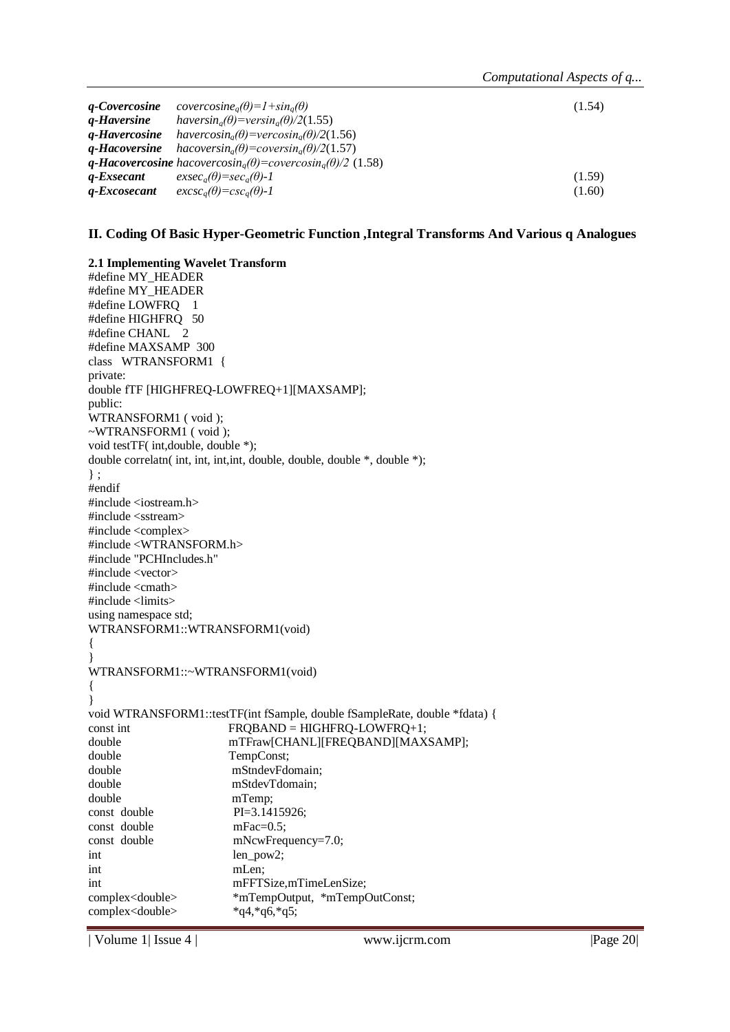| <i><b>a-Covercosine</b></i> | $covercosine_{a}(\theta)=1+sin_{a}(\theta)$                                                                 | (1.54) |
|-----------------------------|-------------------------------------------------------------------------------------------------------------|--------|
| <i><b>a-Haversine</b></i>   | haversin <sub>a</sub> $(\theta)$ =versin <sub>a</sub> $(\theta)/2(1.55)$                                    |        |
| <i><b>a-Havercosine</b></i> | havercosin <sub>a</sub> ( $\theta$ )=vercosin <sub>a</sub> ( $\theta$ )/2(1.56)                             |        |
| <i><b>a-Hacoversine</b></i> | $hacoversin_{a}(\theta) = coversin_{a}(\theta)/2(1.57)$                                                     |        |
|                             | <b>q-Hacovercosine</b> hacovercosin <sub>a</sub> ( $\theta$ )=covercosin <sub>a</sub> ( $\theta$ )/2 (1.58) |        |
| <i><b>a-Exsecant</b></i>    | $exsec_a(\theta)=sec_a(\theta)-1$                                                                           | (1.59) |
| q-Excosecant                | $excsc_a(\theta)=csc_a(\theta)-1$                                                                           | (1.60) |

### **II. Coding Of Basic Hyper-Geometric Function ,Integral Transforms And Various q Analogues**

**2.1 Implementing Wavelet Transform** #define MY\_HEADER #define MY\_HEADER #define LOWFRQ 1 #define HIGHFRQ 50 #define CHANL 2 #define MAXSAMP 300 class WTRANSFORM1 { private: double fTF [HIGHFREQ-LOWFREQ+1][MAXSAMP]; public: WTRANSFORM1 ( void ); ~WTRANSFORM1 ( void ); void testTF( int,double, double \*); double correlatn( int, int, int,int, double, double, double \*, double \*); } ; #endif #include <iostream.h> #include <sstream> #include <complex> #include <WTRANSFORM.h> #include "PCHIncludes.h" #include <vector> #include <cmath> #include <limits> using namespace std; WTRANSFORM1::WTRANSFORM1(void) { } WTRANSFORM1::~WTRANSFORM1(void) { } void WTRANSFORM1::testTF(int fSample, double fSampleRate, double \*fdata) { const int FRQBAND = HIGHFRQ-LOWFRQ+1; double mTFraw[CHANL][FREQBAND][MAXSAMP]; double TempConst; double mStndevFdomain; double mStdevTdomain; double mTemp; const double PI=3.1415926; const double mFac=0.5; const double mNcwFrequency=7.0; int len\_pow2; int mLen; int mFFTSize,mTimeLenSize; complex<double> \*mTempOutput, \*mTempOutConst; complex<double> \*q4,\*q6,\*q5;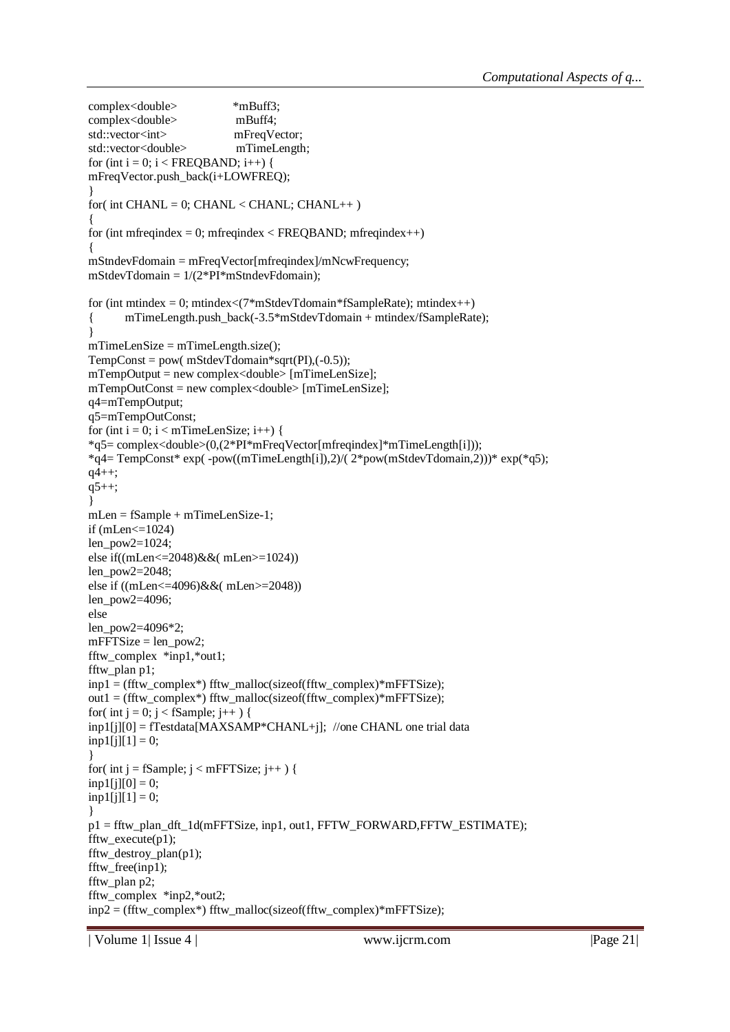```
complex<double> *mBuff3;
complex<double> mBuff4;
std::vector<int> mFreqVector;
std::vector<double> mTimeLength;
for (int i = 0; i < FREQBAND; i++) {
mFreqVector.push_back(i+LOWFREQ);
}
for( int CHANL = 0; CHANL < CHANL; CHANL++ )
{
for (int mfreqindex = 0; mfreqindex < FREQBAND; mfreqindex ++)
{
mStndevFdomain = mFreqVector[mfreqindex]/mNcwFrequency;
mStdevTdomain = 1/(2*PI*mStndevFdomain);
for (int mtindex = 0; mtindex < (7*mStdevT domain * fSampleRate); mtindex + +)
{ mTimeLength.push_back(-3.5*mStdevTdomain + mtindex/fSampleRate);
}
mTimeLenSize = mTimeLength.size();TempConst = pow(mStdevTdomain*sqrt(PI), (-0.5));mTempOutput = new complex<double> [mTimeLenSize];
mTempOutConst = new complex<double> [mTimeLenSize];
q4=mTempOutput;
q5=mTempOutConst;
for (int i = 0; i < mTimeLenSize; i++) {
*q5= complex<double>(0,(2*PI*mFreqVector[mfreqindex]*mTimeLength[i]));
*q4= TempConst* exp( -pow((mTimeLength[i]),2)/( 2*pow(mStdevTdomain,2)))* exp(*q5);
q_{4++};q5++;}
mLen = fSample + mTimeLenSize-1;
if (mLen<=1024)
len_pow2=1024;
else if((mLen<=2048)&&( mLen>=1024))
len_pow2=2048;
else if ((mLen<=4096)&&( mLen>=2048))
len_pow2=4096;
else
len_pow2=4096*2;
mFFTSize = len\_pow2;fftw_complex *inp1,*out1;
fftw_plan p1;
inp1 = (fftw\ complex*) fftw_malloc(sizeof(fftw_complex)*mFFTSize);
out1 = (fftw_complex*) fftw_malloc(sizeof(fftw_complex)*mFFTSize);
for( int j = 0; j < fSample; j++ ) {
inp1[j][0] = fTestdata[MAXSAMP*CHANL+j]; //one CHANL one trial data
inp1[j][1] = 0;}
for( int j = fSample; j < mFFTSize; j++ ) {
inp1[j][0] = 0;inp1[j][1] = 0;}
p1 = fftw plan dft 1d(mFFTSize, inp1, out1, FFTW FORWARD, FFTW ESTIMATE);fftw_execute(p1):
fftw destroy plan(p1);
fftw free(inp1);
fftw_plan p2;
fftw_complex *inp2,*out2;
inp2 = (fftw_complex*) fftw_malloc(sizeof(fftw_complex)*mFFTSize);
```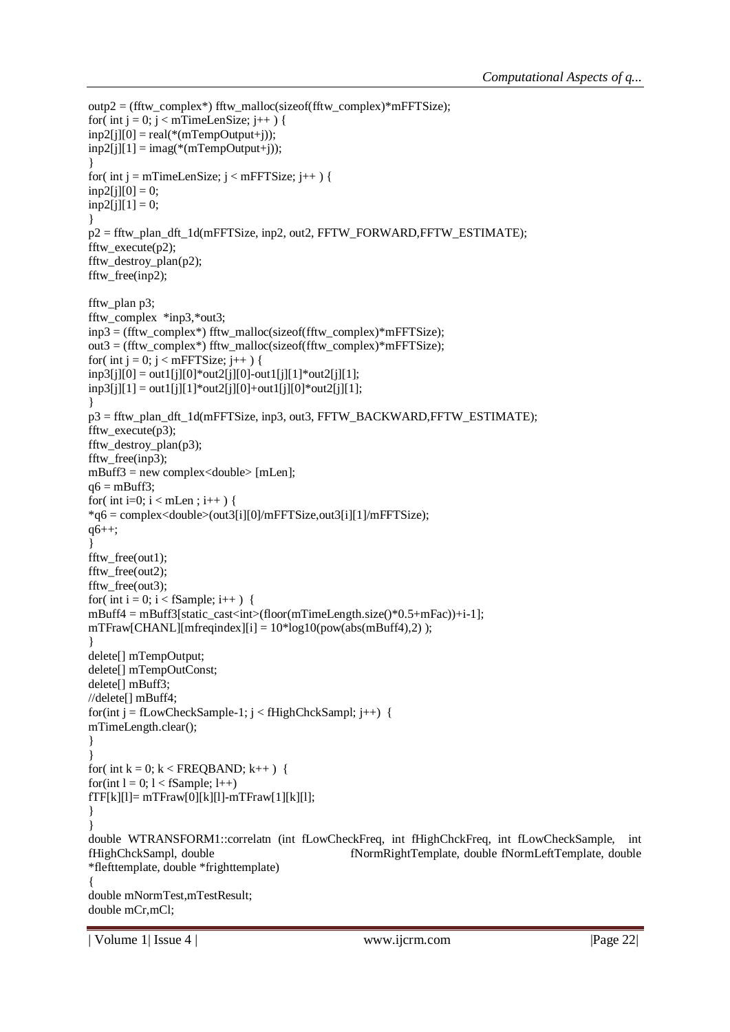```
outp2 = (fftw_complex*) fftw_malloc(sizeof(fftw_complex)*mFFTSize);
for( int j = 0; j < mTimeLenSize; j++ ) {
inp2[i][0] = real(*(mTempOutput + i));inp2[j][1] = imag(*(mTempOutput+j));}
for( int j = mTimeLenSize; j < mFFTSize; j++ ) {
inp2[i][0] = 0;inp2[j][1] = 0;}
p2 = fftw_plan_dft_1d(mFFTSize, inp2, out2, FFTW_FORWARD,FFTW_ESTIMATE);
fftw_execute(p2);
fftw_destroy_plan(p2);
fftw_free(inp2);
fftw_plan p3;
fftw_complex *inp3,*out3;
inp3 = (fftw\_complex*) fftw_malloc(sizeof(fftw_complex)*mFFTSize);
out3 = (fftw_complex*) fftw_malloc(sizeof(fftw_complex)*mFFTSize);
for( int j = 0; j < mFFTSize; j++ ) {
inp3[i][0] = out1[i][0]*out2[i][0]-out1[i][1]*out2[i][1];inp3[i][1] = out1[i][1]*out2[i][0]+out1[i][0]*out2[i][1];}
p3 = fftw_plan_dft_1d(mFFTSize, inp3, out3, FFTW_BACKWARD,FFTW_ESTIMATE);
fftw_execute(p3);
fftw_destroy_plan(p3);
fftw_free(inp3);
m\text{Buff3} = \text{new complex} < a = mLen];
q6 = mBuff3;
for( int i=0; i < mLen; i++) {
*q6 = complex<double>(out3[i][0]/mFFTSize,out3[i][1]/mFFTSize);
q6++;
}
fftw_free(out1);
fftw_free(out2);
fftw_free(out3);
for( int i = 0; i < fSample; i++ ) {
mBuff4 = mBuff3[static_cast<int>(floor(mTimeLength.size()*0.5+mFac))+i-1];
mTFraw[CHANL][mfreqindex][i] = 10*log10(pow(abs(mBuff4),2));
}
delete[] mTempOutput;
delete[] mTempOutConst;
delete[] mBuff3;
//delete[] mBuff4;
for(int j = fLowCheckSample-1; j < fHighChckSampl; j++) {
mTimeLength.clear();
}
}
for( int k = 0; k < FREQBAND; k++ ) {
for(int l = 0; l < fSample; l++)
fTF[k][l]= mTFraw[0][k][l]-mTFraw[1][k][l];
}
}
double WTRANSFORM1::correlatn (int fLowCheckFreq, int fHighChckFreq, int fLowCheckSample, int 
fHighChckSampl, double fNormRightTemplate, double fNormLeftTemplate, double 
*flefttemplate, double *frighttemplate)
{
double mNormTest,mTestResult;
double mCr,mCl;
```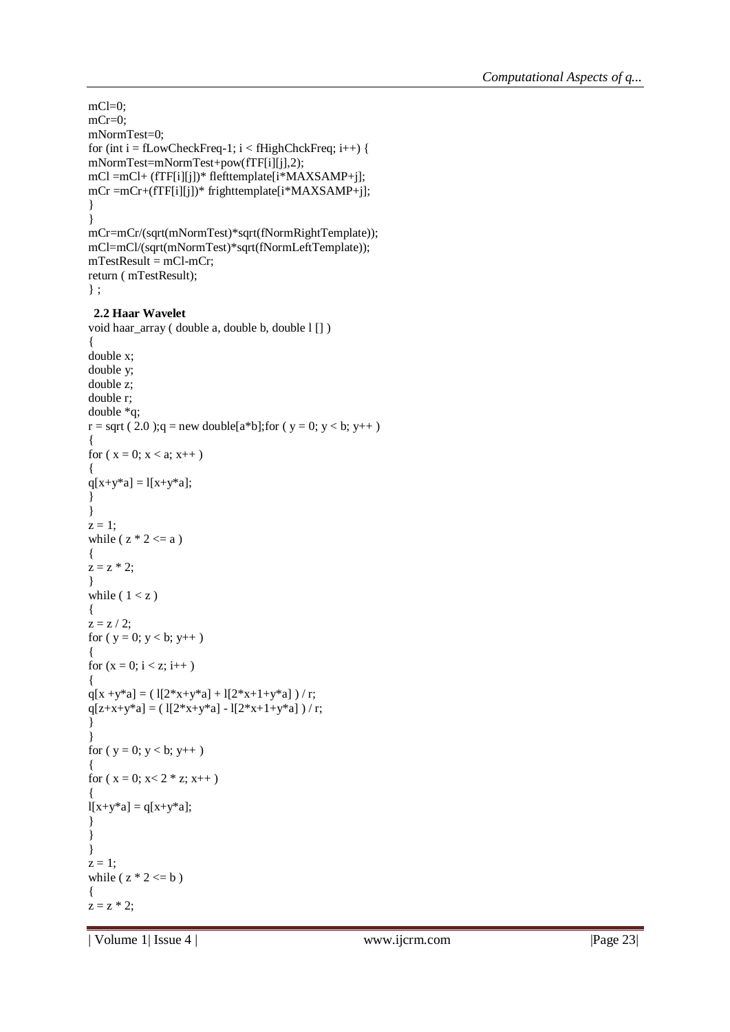```
mCl=0;
mCr=0:
mNormTest=0;
for (int i = fLowCheckFreq-1; i < fHighChckFreq; i++) {
mNormTest=mNormTest+pow(fTF[i][j],2);
mCl =mCl+ (fTF[i][j])* flefttemplate[i*MAXSAMP+j];
mCr =mCr+(fTF[i][j])* frighttemplate[i*MAXSAMP+j];
}
}
mCr=mCr/(sqrt(mNormTest)*sqrt(fNormRightTemplate));
mCl=mCl/(sqrt(mNormTest)*sqrt(fNormLeftTemplate));
mTestResult = mCl-mCr;return ( mTestResult);
} ;
 2.2 Haar Wavelet
void haar_array ( double a, double b, double l [] )
{
double x;
double y;
double z;
double r;
double *q;
r = sqrt (2.0);q = new double[a*b];for (y = 0; y < b; y++)
{
for (x = 0; x < a; x++){
q[x+y^*a] = l[x+y^*a];}
}
z = 1;
while (z * 2 \le a)
{
z = z * 2;}
while (1 < z){
z = z / 2;
for (y = 0; y < b; y++){
for (x = 0; i < z; i++){
q[x +y^*a] = (1[2*x+y^*a] + 1[2*x+1+y^*a] ) / r;
q[z+x+y^*a] = (1[2*x+y^*a] - 1[2*x+1+y^*a] ) / r;
}
}
for (y = 0; y < b; y++){
for (x = 0; x < 2 * z; x++){
l[x+y^*a] = q[x+y^*a];}
}
}
z = 1;
while (z * 2 \le b)
{
z = z * 2;
```
| Volume 1| Issue 4 | www.ijcrm.com | Page 23|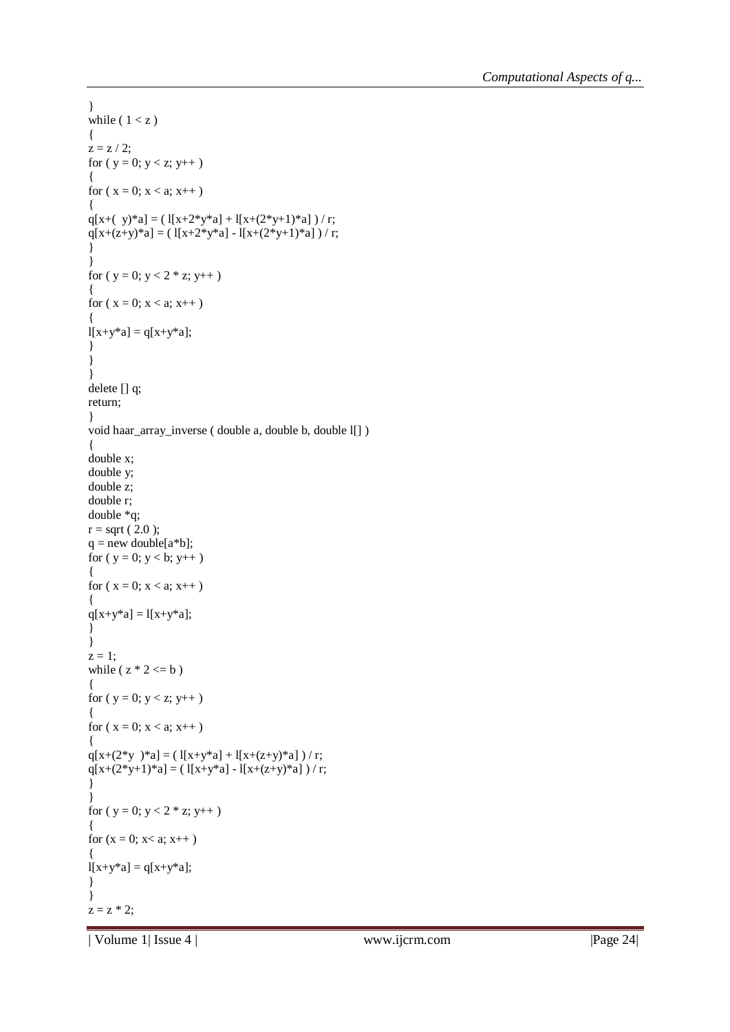```
}
while (1 < z){
z = z / 2;for (y = 0; y < z; y++)
{
for (x = 0; x < a; x++){
q[x+( y)*a] = (1[x+2*y*a] + 1[x+(2*y+1)*a]) / r;
q[x+(z+y)*a] = ( l[x+2*y*a] - l[x+(2*y+1)*a] ) / r;
}
}
for (y = 0; y < 2 * z; y++)
{
for (x = 0; x < a; x++){
l[x+y^*a] = q[x+y^*a];}
}
}
delete [] q;
return;
}
void haar_array_inverse ( double a, double b, double l[] )
{
double x;
double y;
double z;
double r;
double *q;
r = sqrt (2.0);
q = new double[a * b];for (y = 0; y < b; y++)\{for (x = 0; x < a; x++)
{
q[x+y^*a] = l[x+y^*a];}
}
z = 1;
while (z * 2 \le b)
{
for (y = 0; y < z; y++)
{
for (x = 0; x < a; x++){
q[x+(2*y)*a] = (1[x+y*a]+1[x+(z+y)*a])/r;q[x+(2*y+1)*a] = (1[x+y*a] - 1[x+(z+y)*a]) / r;
}
}
for (y = 0; y < 2 * z; y++)
{
for (x = 0; x < a; x++){
l[x+y^*a] = q[x+y^*a];}
}
z = z * 2;
```
| Volume 1| Issue 4 | www.ijcrm.com | Page 24|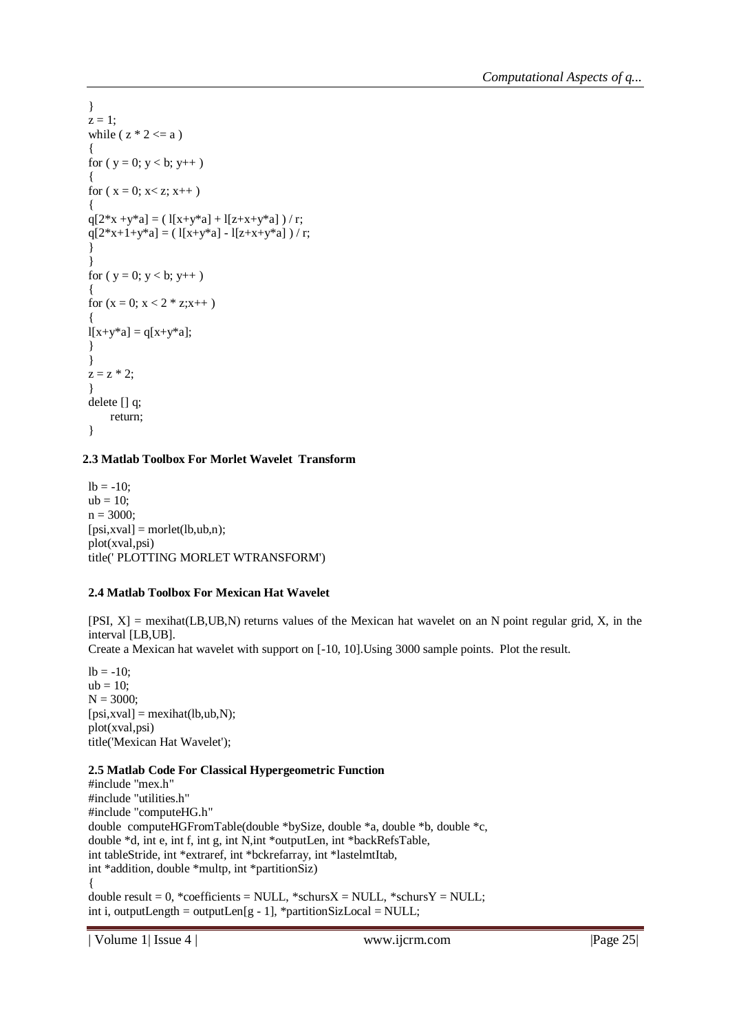```
}
z = 1:
while (z * 2 \le a)
{
for (y = 0; y < b; y++){
for (x = 0; x < z; x++){
q[2*x + y*a] = (1[x+y*a] + 1[z+x+y*a] ) / r;
q[2*x+1+y*a] = (1[x+y*a] - 1[z+x+y*a] ) / r;
}
}
for (y = 0; y < b; y++){
for (x = 0; x < 2 * z; x++){
1[x+y^*a] = q[x+y^*a];}
}
z = z * 2;
}
delete [] q;
    return;
}
```
# **2.3 Matlab Toolbox For Morlet Wavelet Transform**

 $lb = -10$ ;  $ub = 10;$  $n = 3000;$  $[psi,xval] = mort(lb,ub,n);$ plot(xval,psi) title(' PLOTTING MORLET WTRANSFORM')

# **2.4 Matlab Toolbox For Mexican Hat Wavelet**

[PSI, X] = mexihat(LB,UB,N) returns values of the Mexican hat wavelet on an N point regular grid, X, in the interval [LB,UB].

Create a Mexican hat wavelet with support on [-10, 10].Using 3000 sample points. Plot the result.

 $lb = -10$ ;  $ub = 10$ ;  $N = 3000;$  $[psi,xval] = \text{mexihat}(lb,ub,N);$ plot(xval,psi) title('Mexican Hat Wavelet');

## **2.5 Matlab Code For Classical Hypergeometric Function**

#include "mex.h" #include "utilities.h" #include "computeHG.h" double computeHGFromTable(double \*bySize, double \*a, double \*b, double \*c, double \*d, int e, int f, int g, int N,int \*outputLen, int \*backRefsTable, int tableStride, int \*extraref, int \*bckrefarray, int \*lastelmtItab, int \*addition, double \*multp, int \*partitionSiz) { double result =  $0$ , \*coefficients = NULL, \*schurs $X = NULL$ , \*schurs $Y = NULL$ ; int i, outputLength = outputLen $[g - 1]$ , \*partitionSizLocal = NULL;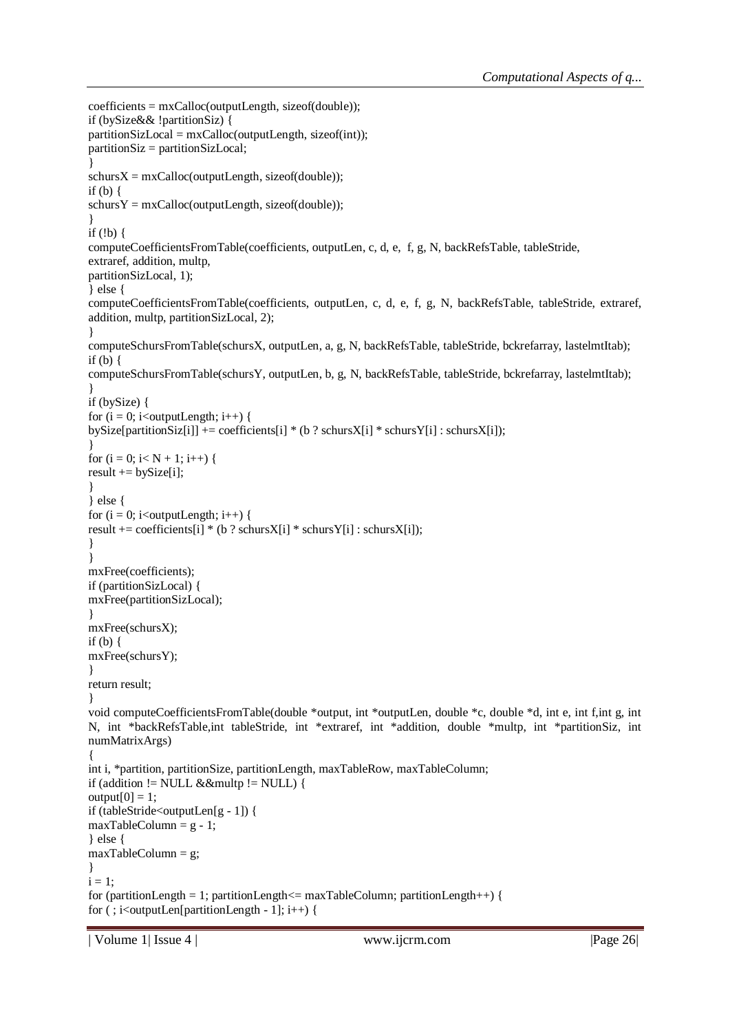```
coefficients = mxCalloc(outputLength, sizeof(double));
if (bySize&& !partitionSiz) {
partitionSizeLocal = mxCalloc(outputLength, sizeof(int));partitionSiz = partitionSizLocal;
}
schursX = mxCalloc(outputLength, sizeof(double));if (b) {
schursY = mxCalloc(outputLength, sizeof(double));}
if (!b) {
computeCoefficientsFromTable(coefficients, outputLen, c, d, e, f, g, N, backRefsTable, tableStride,
extraref, addition, multp,
partitionSizLocal, 1);
} else {
computeCoefficientsFromTable(coefficients, outputLen, c, d, e, f, g, N, backRefsTable, tableStride, extraref, 
addition, multp, partitionSizLocal, 2);
}
computeSchursFromTable(schursX, outputLen, a, g, N, backRefsTable, tableStride, bckrefarray, lastelmtItab);
if (b) {
computeSchursFromTable(schursY, outputLen, b, g, N, backRefsTable, tableStride, bckrefarray, lastelmtItab);
}
if (bySize) {
for (i = 0; i<outputLength; i++) {
bySize[partitionSiz[i]] += coefficients[i] * (b ? schursX[i] * schursY[i] : schursX[i]);
}
for (i = 0; i < N + 1; i++) {
result += bySize[i];
}
} else {
for (i = 0; i<outputLength; i++) {
result += coefficients[i] * (b ? schursX[i] * schursY[i] : schursX[i]);
}
}
mxFree(coefficients);
if (partitionSizLocal) {
mxFree(partitionSizLocal);
}
mxFree(schursX);
if (b) \{mxFree(schursY);
}
return result;
}
void computeCoefficientsFromTable(double *output, int *outputLen, double *c, double *d, int e, int f,int g, int 
N, int *backRefsTable,int tableStride, int *extraref, int *addition, double *multp, int *partitionSiz, int 
numMatrixArgs)
{
int i, *partition, partitionSize, partitionLength, maxTableRow, maxTableColumn;
if (addition != NULL &&multp != NULL) {
output[0] = 1;if (tableStride<outputLen[g - 1]) {
maxTableColumn = g - 1;} else {
maxTableColumn = g;
}
i = 1;
for (partitionLength = 1; partitionLength \leq maxTableColumn; partitionLength + +) {
for (; i<outputLen[partitionLength - 1]; i++) {
```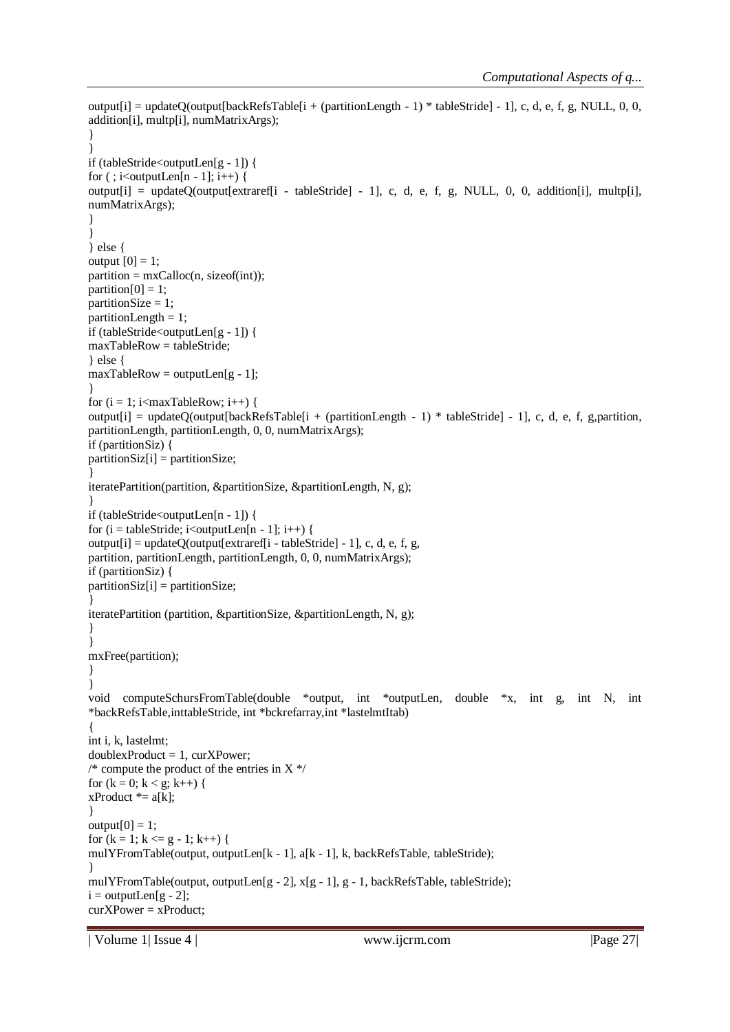```
output[i] = updateQ(output[backRefsTable[i + (partitionLength - 1) * tableStride] - 1], c, d, e, f, g, NULL, 0, 0,
addition[i], multp[i], numMatrixArgs);
}
}
if (tableStride<outputLen[g - 1]) {
for (; i\ltoutputLen[n - 1]; i++) {
output[i] = updateQ(output[extraref[i - tableStride] - 1], c, d, e, f, g, NULL, 0, 0, addition[i], multp[i], 
numMatrixArgs);
}
}
} else {
output [0] = 1;
partition = mxCalloc(n, sizeof(int));partition[0] = 1;partitionSize = 1;
partitionLength = 1;
if (tableStride<outputLen[g - 1]) {
maxTableRow = tableStride;
} else {
maxTableRow = outputLen[g - 1];}
for (i = 1; i<maxTableRow; i++) {
output[i] = updateQ(output[backRefsTable[i + (partitionLength - 1) * tableStride] - 1], c, d, e, f, g,partition, 
partitionLength, partitionLength, 0, 0, numMatrixArgs);
if (partitionSiz) {
partitionSize[i] = partitionSize;}
iteratePartition(partition, &partitionSize, &partitionLength, N, g);
}
if (tableStride<outputLen[n - 1]) {
for (i = tableStride; i < outputLen[n - 1]; i++) {
output[i] = updateQ(output[extraref[i - tableStride] - 1], c, d, e, f, g,
partition, partitionLength, partitionLength, 0, 0, numMatrixArgs);
if (partitionSiz) {
partitionSize[i] = partitionSize;}
iteratePartition (partition, &partitionSize, &partitionLength, N, g);
}
}
mxFree(partition);
}
}
void computeSchursFromTable(double *output, int *outputLen, double *x, int g, int N, int 
*backRefsTable,inttableStride, int *bckrefarray,int *lastelmtItab)
{
int i, k, lastelmt;
doublexProduct = 1, curXPower;
/* compute the product of the entries in X*/for (k = 0; k < g; k++) {
xProduct * = a[k];
}
output[0] = 1;for (k = 1; k \leq g - 1; k++) {
mulYFromTable(output, outputLen[k - 1], a[k - 1], k, backRefsTable, tableStride);
}
mulYFromTable(output, outputLen[g - 2], x[g - 1], g - 1, backRefsTable, tableStride);
i = outputLen[g - 2];curXPower = xProduct;
```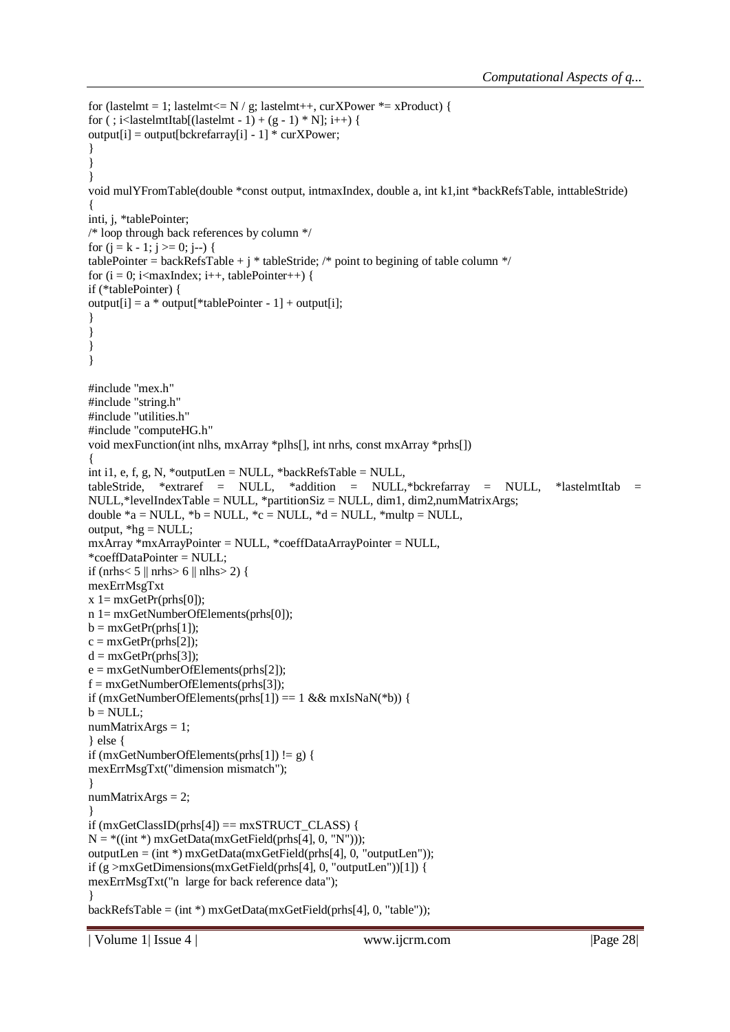```
for (lastelmt = 1; lastelmt <= N / g; lastelmt ++, curXPower * = xProduct) {
for (; i<lastelmtItab[(lastelmt - 1) + (g - 1) * N]; i++) {
output[i] = output[bkrefarray[i] - 1] * curXPower;}
}
}
void mulYFromTable(double *const output, intmaxIndex, double a, int k1,int *backRefsTable, inttableStride)
{
inti, j, *tablePointer;
/* loop through back references by column */
for (i = k - 1; j >= 0; j-)tablePointer = backRefsTable + j * tableStride; /* point to begining of table column */
for (i = 0; i<maxIndex; i++), tablePointer++) {
if (*tablePointer) {
output[i] = a * output[*tablePointer - 1] + output[i];}
}
}
}
#include "mex.h"
#include "string.h"
#include "utilities.h"
#include "computeHG.h"
void mexFunction(int nlhs, mxArray *plhs[], int nrhs, const mxArray *prhs[])
{
int i1, e, f, g, N, *outputLen = NULL, *backRefsTable = NULL,
tableStride, *extraref = NULL, *addition = NULL,*bckrefarray = NULL, *lastelmtItab = 
NULL,*levelIndexTable = NULL, *partitionSiz = NULL, dim1, dim2,numMatrixArgs;
double a = NULL, a = NULL, c = NULL, a = NULL, a = NULL, a = NULL,
output, *hg = NULL;
mxArray *mxArrayPointer = NULL, *coeffDataArrayPointer = NULL,
*coeffDataPointer = NULL;
if (nrhs< 5 \parallelnrhs> 6 \parallelnlhs> 2) {
mexErrMsgTxt
x = mxGetPr(prhs[0]);n 1= mxGetNumberOfElements(prhs[0]);
b = mxGetPr(prhs[1]);
c = mxGetPr(prhs[2]);d = mxGetPr(prhs[3]);
e = mxGetNumberOfElements(prhs[2]);
f = mxGetNumberOfElements(prhs[3]);
if (mxGetNumberOfElements(prhs[1]) == 1 && mxIsNaN(*b)) {
b = NULL;numMatrixArgs = 1;
} else {
if (mxGetNumberOfElements(prhs[1]) != g) {
mexErrMsgTxt("dimension mismatch");
}
numMatrixArgs = 2;
}
if (mxGetClassID(prhs[4]) == mxSTRUCT CLASS) {
N = *((int * ) maxGetData(mxGetField(prhs[4], 0, "N")));outputLen = (int *) mxGetData(mxGetField(prhs[4], 0, "outputLen"));
if (g >mxGetDimensions(mxGetField(prhs[4], 0, "outputLen"))[1]) {
mexErrMsgTxt("n large for back reference data");
}
backRefsTable = (int *) mxGetData(mxGetField(prhs[4], 0, "table"));
```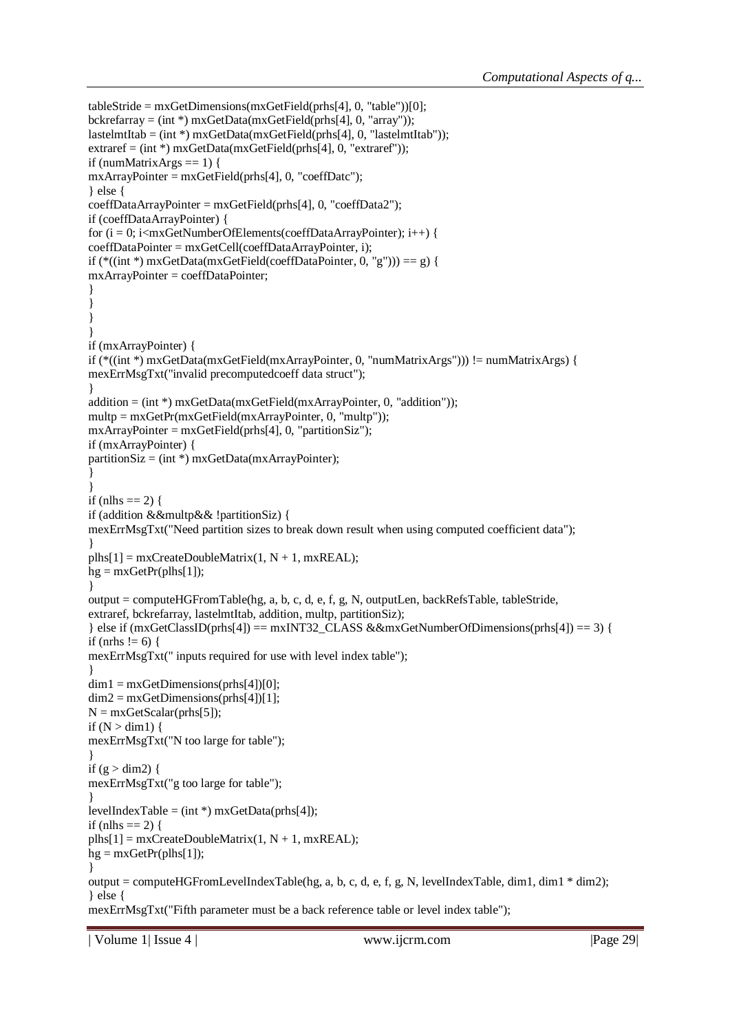```
tableStride = mxGetDimensions(mxGetField(prhs[4], 0, "table"))[0];bckrefarray = (int * ) mxGetData(mxGetField(mhs[4], 0, "array"));
lastelmtItab = (int *) maxGetData(mxGetField(prhs[4], 0, "lastelmtItab"));extraref = (int*) mxGetData(mxGetField(prhs[4], 0, "extract"));
if (numMatrixArgs == 1) {
mxArrayPointer = mxGetField(prhs[4], 0, "coeffDatc");
} else {
coeffDataArrayPointer = mxGetField(prhs[4], 0, "coeffData2");
if (coeffDataArrayPointer) {
for (i = 0; i<mxGetNumberOfElements(coeffDataArrayPointer); i++) {
coeffDataPointer = mxGetCell(coeffDataArrayPointer, i);
if (*((int *) maxGetData(mxGetField(coeffDataPointer, 0, "g")) == g)mxArrayPointer = coeffDataPointer;
}
}
}
}
if (mxArrayPointer) {
if (*((int *) mxGetData(mxGetField(mxArrayPointer, 0, "numMatrixArgs"))) != numMatrixArgs) {
mexErrMsgTxt("invalid precomputedcoeff data struct");
}
addition = (int * ) mxGetData(mxGetField(mxArrayPointer, 0, "addition"));
multp = mxGetPr(mxGetField(mxArrayPointer, 0, "multp"));
mxArrayPointer = mxGetField(prhs[4], 0, "partitionSize");if (mxArrayPointer) {
partitionSize = (int*) mxGetData(mxArrayPointer);
}
}
if (nlhs == 2) {
if (addition &&multp&& !partitionSiz) {
mexErrMsgTxt("Need partition sizes to break down result when using computed coefficient data");
}
plhs[1] = mxCreateDoubleMatrix(1, N + 1, mxREAL);he = mxGetPr(plhs[1]):}
output = computeHGFromTable(hg, a, b, c, d, e, f, g, N, outputLen, backRefsTable, tableStride,
extraref, bckrefarray, lastelmtItab, addition, multp, partitionSiz);
} else if (mxGetClassID(prhs[4]) = mxINT32 CLASS &&mxGetNumberOfDimensions(prhs[4]) == 3) {
if (nrhs != 6) {
mexErrMsgTxt(" inputs required for use with level index table");
}
dim1 = mxGetDimensions(prhs[4])[0];
dim2 = mxGetDimensions(prhs[4])[1];N = mxGetScalar(prhs[5]);if (N > dim 1) {
mexErrMsgTxt("N too large for table");
}
if (g > dim2) {
mexErrMsgTxt("g too large for table");
}
levelIndexTable = (int * ) mxGetData(prhs[4]);
if (nlhs == 2) {
plhs[1] = mxCreateDoubleMatrix(1, N + 1, mxREAL);hg = mxGetPr(plhs[1]);}
output = computeHGFromLevelIndexTable(hg, a, b, c, d, e, f, g, N, levelIndexTable, dim1, dim1 * dim2);
} else {
mexErrMsgTxt("Fifth parameter must be a back reference table or level index table");
```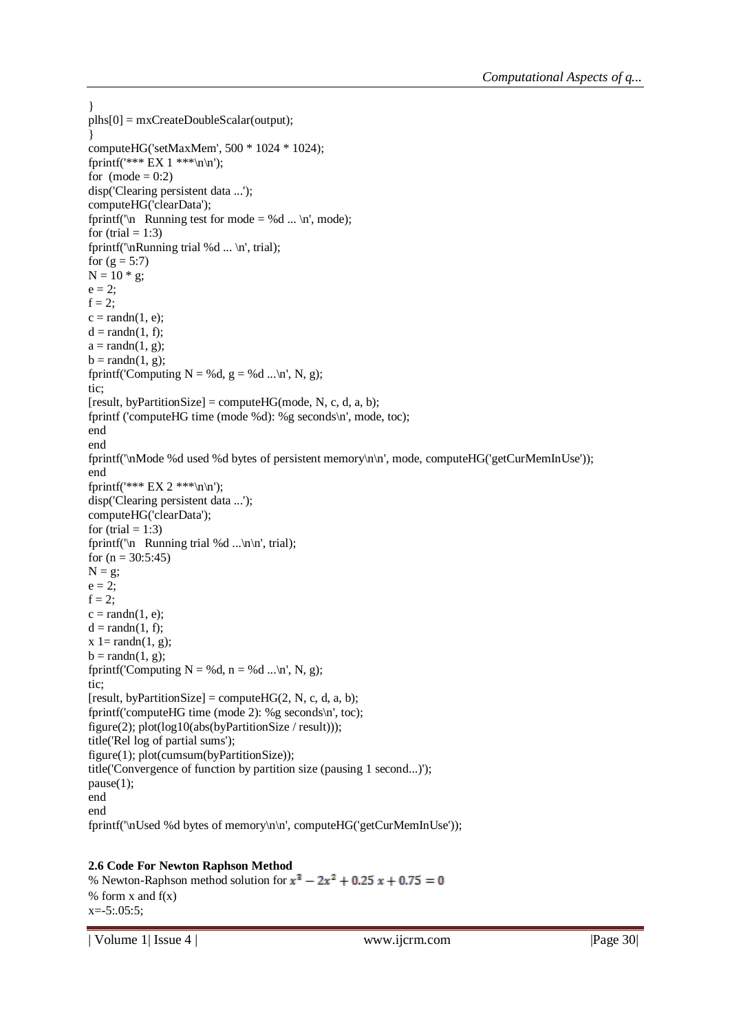```
}
plhs[0] = mxCreateDoubleScalar(output);}
computeHG('setMaxMem', 500 * 1024 * 1024);
fprintf('*** EX 1 ***\n\n');
for (mode = 0:2)disp('Clearing persistent data ...');
computeHG('clearData');
fprintf('\n Running test for mode = %d ... \n', mode);
for (trial = 1:3)
fprintf('\nRunning trial %d ... \n', trial);
for (g = 5:7)N = 10 * g;e = 2;
f = 2;
c = \text{randn}(1, e);d = \text{randn}(1, f);a = \text{randn}(1, g);b = \text{randn}(1, g);fprintf('Computing N = %d, g = %d ...\n', N, g);
tic;
[result, byPartitionSize] = compute HG (mode, N, c, d, a, b);fprintf ('computeHG time (mode %d): %g seconds\n', mode, toc);
end
end
fprintf('\nMode %d used %d bytes of persistent memory\n\n', mode, computeHG('getCurMemInUse'));
end
fprintf('*** EX 2 ***\n\n');
disp('Clearing persistent data ...');
computeHG('clearData');
for (trial = 1:3)
fprintf('\n Running trial %d ...\n\n', trial);
for (n = 30:5:45)N = g;
e = 2;f = 2;
c = \text{randn}(1, e);d = \text{randn}(1, f);x = \text{randn}(1, g);b = \text{randn}(1, g);fprintf('Computing N = %d, n = %d ...\n', N, g);
tic;
[result, byPartitionSize] = compute HG(2, N, c, d, a, b);fprintf('computeHG time (mode 2): %g seconds\n', toc);
figure(2); plot(log10(abs(byPartitionSize / result)));
title('Rel log of partial sums');
figure(1); plot(cumsum(byPartitionSize));
title('Convergence of function by partition size (pausing 1 second...)');
pause(1);
end
end
fprintf('\nUsed %d bytes of memory\n\n', computeHG('getCurMemInUse'));
```
### **2.6 Code For Newton Raphson Method**

% Newton-Raphson method solution for  $x^3 - 2x^2 + 0.25x + 0.75 = 0$ % form  $x$  and  $f(x)$  $x = -5:05:5;$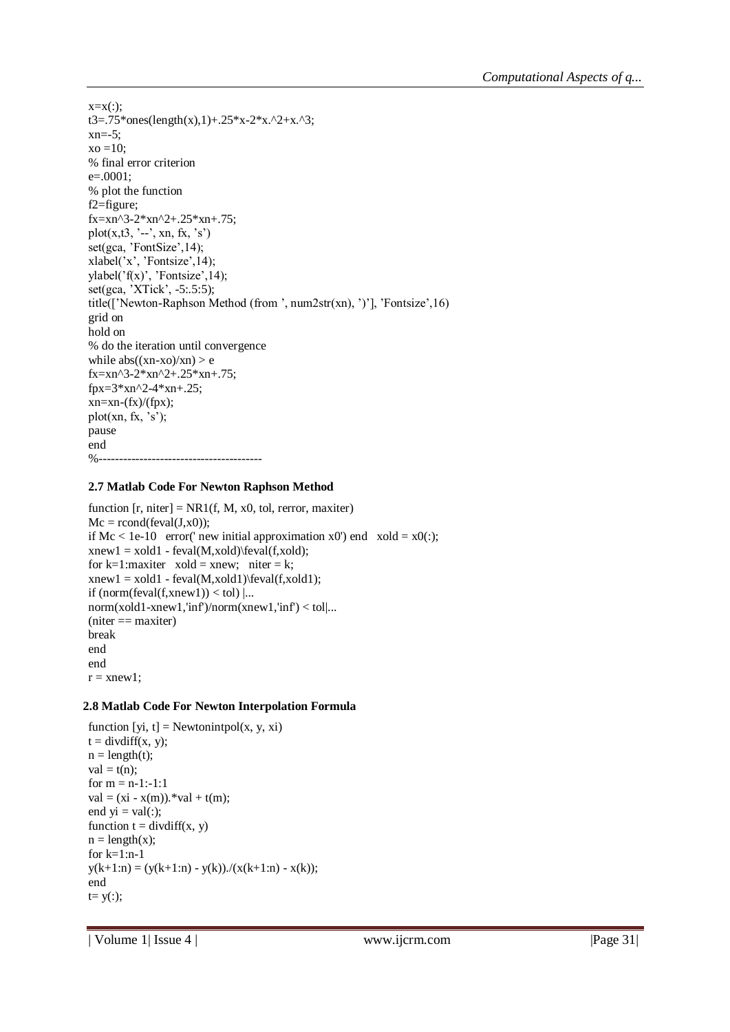```
x=x(:):t3=.75*ones(length(x),1)+.25*x-2*x.^2+x.^3;
xn=-5;
x_0 = 10:
% final error criterion
e=.0001;
% plot the function
f2=figure;
fx=xn^3-2*xn^2+.25*xn+.75;
plot(x,t3, \dots, xn, fx, 's')set(gca, 'FontSize',14);
xlabel('x', 'Fontsize',14);
ylabel('f(x)', 'Fontsize',14);
set(gca, 'XTick', -5:.5:5);
title(['Newton-Raphson Method (from ', num2str(xn), ')'], 'Fontsize',16)
grid on
hold on
% do the iteration until convergence
while abs((xn-xo)/xn) > efx=xn^3-2*xn^2+.25*xn+.75;
fpx=3*xn^2-4*xn+.25;
xn=xn-(fx)/(fpx);plot(xn, fx, 's');pause
end
%----------------------------------------
```
### **2.7 Matlab Code For Newton Raphson Method**

```
function [r, niter] = NR1(f, M, x0, tol, rerror, maxiter)Mc = rcond(feval(J,x0));if Mc < 1e-10 error(' new initial approximation x0') end x old = x0(:);xnew1 = xold1 - fewal(M,xold)\text{eval}(f,xold);for k=1: maxiter xold = xnew; niter = k;
xnew1 = xold1 - fewal(M, xold1)\text{eval}(f, xold1);if (norm(feval(f, xnew1)) < tol |...
norm(xold1-xnew1,'inf')/norm(xnew1,'inf') < tol|...
(niter == maxiter)break
end
end
r = xnew1;
```
### **2.8 Matlab Code For Newton Interpolation Formula**

```
function [yi, t] = Newtonintpol(x, y, xi)
t = \text{divdiff}(x, y);n = length(t);val = t(n);for m = n-1:-1:1val = (xi - x(m)).*val + t(m);end yi = val(:);function t = \text{divdiff}(x, y)n = length(x);for k=1:n-1y(k+1:n) = (y(k+1:n) - y(k)) \cdot ((x(k+1:n) - x(k));end
t = y(:);
```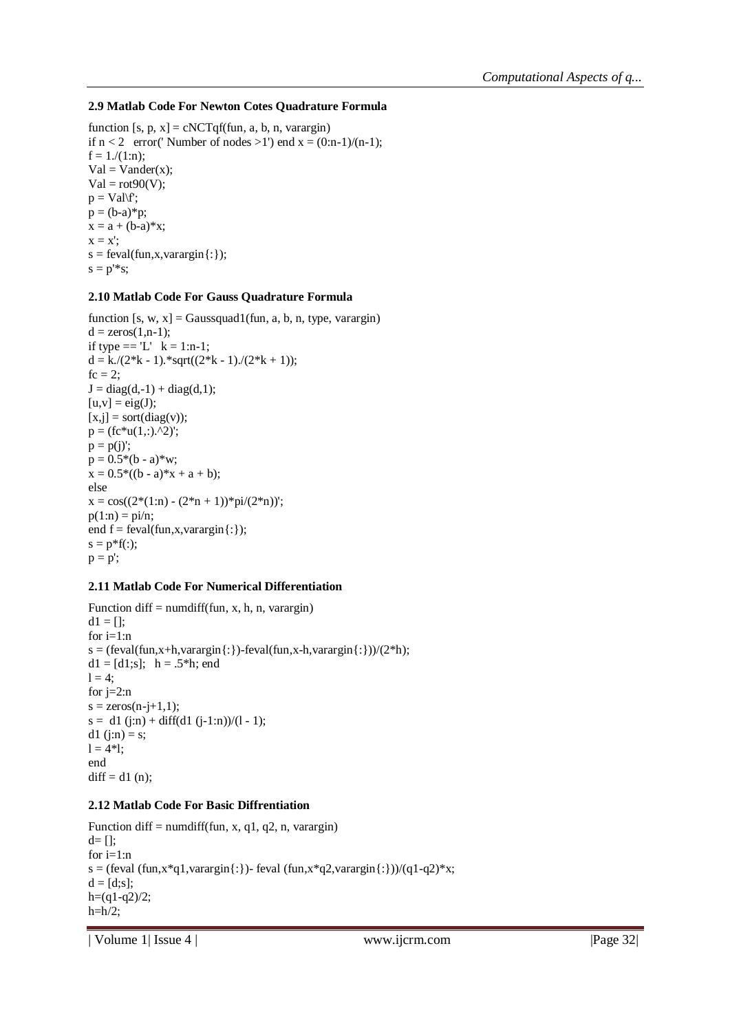### **2.9 Matlab Code For Newton Cotes Quadrature Formula**

function [s, p, x] = cNCTqf(fun, a, b, n, varargin) if  $n < 2$  error(' Number of nodes  $>1$ ') end  $x = (0:n-1)/(n-1)$ ;  $f = 1/(1:n);$  $Val = Vander(x);$  $Val = rot90(V);$  $p = Val\$ f;  $p = (b-a)*p;$  $x = a + (b-a)*x;$  $x = x$ ;  $s = \text{feval}(fun, x, varargin\{:\})$ ;  $s = p^{\prime *}s;$ 

### **2.10 Matlab Code For Gauss Quadrature Formula**

function  $[s, w, x] =$ Gaussquad1(fun, a, b, n, type, varargin)  $d = zeros(1, n-1);$ if type  $== 'L'$  k = 1:n-1;  $d = k/(2*k - 1)$ .\*sqrt $((2*k - 1)/(2*k + 1))$ ;  $fc = 2$ ;  $J = diag(d, -1) + diag(d, 1);$  $[u,v] = eig(J);$  $[x,j]$  = sort(diag(v));  $p = (fc*u(1,:).^2)$ ;  $p = p(j)$ ;  $p = 0.5*(b - a)*w;$  $x = 0.5*(b - a)*x + a + b);$ else  $x = cos((2*(1:n) - (2*n + 1))*pi/(2*n));$  $p(1:n) = \frac{pi}{n}$ ; end  $f = \text{feval}(fun, x, varargin\{:\})$ ;  $s = p * f($ : $);$  $p = p'$ ;

### **2.11 Matlab Code For Numerical Differentiation**

Function diff = numdiff(fun, x, h, n, varargin)  $d1 = []$ ; for  $i=1:n$ s = (feval(fun,x+h,varargin $\{\cdot\}$ )-feval(fun,x-h,varargin $\{\cdot\})/(2^*h)$ ;  $d1 = [d1;s]$ ; h = .5\*h; end  $l = 4$ ; for  $j=2:n$  $s = zeros(n-i+1,1);$  $s = d1 (i:n) + diff(d1 (i-1:n))/(1-1);$ d1 (j:n) = s;  $l = 4*1$ ; end  $diff = d1 (n);$ 

### **2.12 Matlab Code For Basic Diffrentiation**

Function diff = numdiff(fun, x, q1, q2, n, varargin) d= []; for  $i=1:n$ s = (feval (fun,x\*q1,varargin{:})- feval (fun,x\*q2,varargin{:}))/(q1-q2)\*x;  $d = [d;s]$ ;  $h=(q1-q2)/2;$  $h=h/2$ ;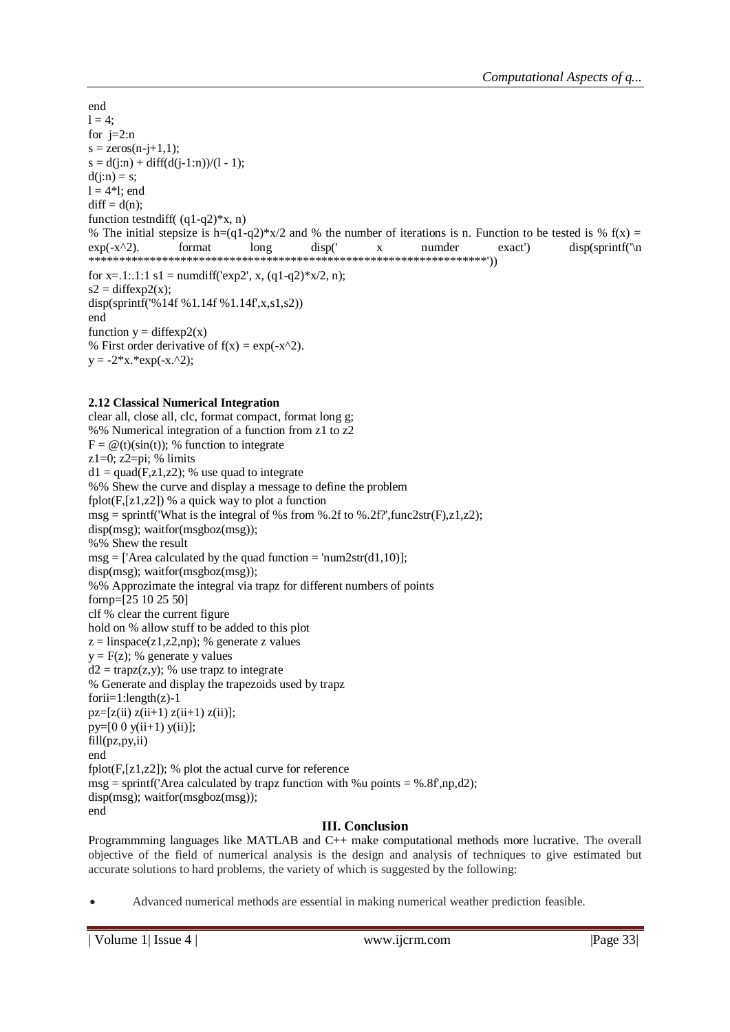end  $1 = 4$ : for  $j=2:n$  $s = zeros(n-j+1,1);$  $s = d(i:n) + diff(d(i-1:n))/(1-1);$  $d(j:n) = s;$  $l = 4*1$ ; end  $diff = d(n);$ function testndiff( $(q1-q2)$ <sup>\*</sup>x, n) % The initial stepsize is h=(q1-q2)\*x/2 and % the number of iterations is n. Function to be tested is % f(x) =  $exp(-x^2)$ . format long disp(' x numder exact') disp(sprintf('\n \*\*\*\*\*\*\*\*\*\*\*\*\*\*\*\*\*\*\*\*\*\*\*\*\*\*\*\*\*\*\*\*\*\*\*\*\*\*\*\*\*\*\*\*\*\*\*\*\*\*\*\*\*\*\*\*\*\*\*\*\*\*\*\*\*')) for x=.1:.1:1 s1 = numdiff('exp2', x,  $(q1-q2)$ <sup>\*</sup>x/2, n);  $s2 = diffexp2(x);$ disp(sprintf('%14f %1.14f %1.14f',x,s1,s2)) end function  $y = diffexp2(x)$ % First order derivative of  $f(x) = \exp(-x^2)$ .  $y = -2*x.*exp(-x.^{2});$ 

### **2.12 Classical Numerical Integration**

clear all, close all, clc, format compact, format long g; %% Numerical integration of a function from z1 to z2  $F = \mathcal{Q}(t)(sin(t))$ ; % function to integrate  $z1=0$ ;  $z2=pi$ ; % limits  $d1 = \text{quad}(F, z1, z2)$ ; % use quad to integrate %% Shew the curve and display a message to define the problem fplot( $F$ ,[z1,z2]) % a quick way to plot a function  $msg = sprintf('What is the integral of %s from %.2f to %.2f?'; func2str(F),z1,z2);$ disp(msg); waitfor(msgboz(msg)); %% Shew the result  $msg =$  ['Area calculated by the quad function = 'num2str(d1,10)]; disp(msg); waitfor(msgboz(msg)); %% Approzimate the integral via trapz for different numbers of points fornp=[25 10 25 50] clf % clear the current figure hold on % allow stuff to be added to this plot  $z =$ linspace(z1,z2,np); % generate z values  $y = F(z)$ ; % generate y values  $d2 = \text{trapz}(z,y)$ ; % use trapz to integrate % Generate and display the trapezoids used by trapz  $for ii=1:length(z)-1$  $pz=[z(ii) z(ii+1) z(ii+1) z(ii);$  $py=[0 \ 0 \ y(i+1) \ y(ii)];$ fill(pz,py,ii) end fplot $(F,[z1,z2])$ ; % plot the actual curve for reference  $msg =$  sprintf('Area calculated by trapz function with %u points = %.8f',np,d2); disp(msg); waitfor(msgboz(msg)); end

### **III. Conclusion**

Programmming languages like MATLAB and C++ make computational methods more lucrative. The overall objective of the field of numerical analysis is the design and analysis of techniques to give estimated but accurate solutions to hard problems, the variety of which is suggested by the following:

Advanced numerical methods are essential in making numerical weather prediction feasible.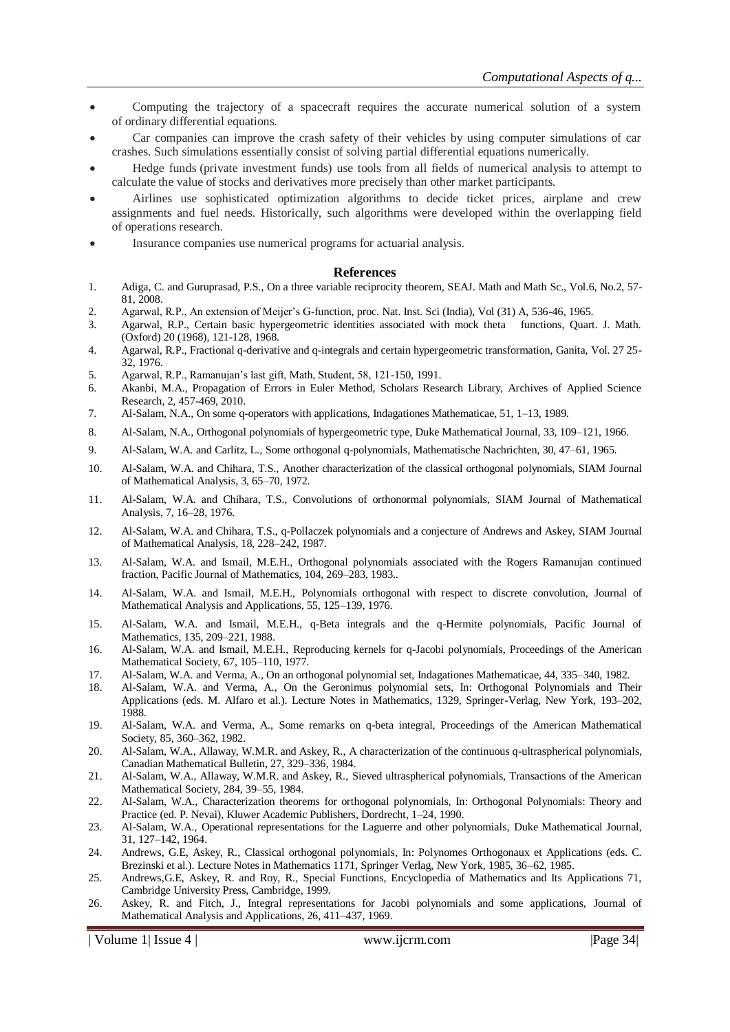- Computing the trajectory of a spacecraft requires the accurate numerical solution of a system of ordinary differential equations.
- Car companies can improve the crash safety of their vehicles by using computer simulations of car crashes. Such simulations essentially consist of solving partial differential equations numerically.
- Hedge funds (private investment funds) use tools from all fields of numerical analysis to attempt to calculate the value of stocks and derivatives more precisely than other market participants.
- Airlines use sophisticated optimization algorithms to decide ticket prices, airplane and crew assignments and fuel needs. Historically, such algorithms were developed within the overlapping field of operations research.
- Insurance companies use numerical programs for actuarial analysis.

### **References**

- 1. Adiga, C. and Guruprasad, P.S., On a three variable reciprocity theorem, SEAJ. Math and Math Sc., Vol.6, No.2, 57- 81, 2008.
- 2. Agarwal, R.P., An extension of Meijer's G-function, proc. Nat. Inst. Sci (India), Vol (31) A, 536-46, 1965.
- 3. Agarwal, R.P., Certain basic hypergeometric identities associated with mock theta functions, Quart. J. Math. (Oxford) 20 (1968), 121-128, 1968.
- 4. Agarwal, R.P., Fractional q-derivative and q-integrals and certain hypergeometric transformation, Ganita, Vol. 27 25- 32, 1976.
- 5. Agarwal, R.P., Ramanujan's last gift, Math, Student, 58, 121-150, 1991.
- 6. Akanbi, M.A., Propagation of Errors in Euler Method, Scholars Research Library, Archives of Applied Science Research, 2, 457-469, 2010.
- 7. Al-Salam, N.A., On some q-operators with applications, Indagationes Mathematicae, 51, 1–13, 1989.
- 8. Al-Salam, N.A., Orthogonal polynomials of hypergeometric type, Duke Mathematical Journal, 33, 109–121, 1966.
- 9. Al-Salam, W.A. and Carlitz, L., Some orthogonal q-polynomials, Mathematische Nachrichten, 30, 47–61, 1965.
- 10. Al-Salam, W.A. and Chihara, T.S., Another characterization of the classical orthogonal polynomials, SIAM Journal of Mathematical Analysis, 3, 65–70, 1972.
- 11. Al-Salam, W.A. and Chihara, T.S., Convolutions of orthonormal polynomials, SIAM Journal of Mathematical Analysis, 7, 16–28, 1976.
- 12. Al-Salam, W.A. and Chihara, T.S., q-Pollaczek polynomials and a conjecture of Andrews and Askey, SIAM Journal of Mathematical Analysis, 18, 228–242, 1987.
- 13. Al-Salam, W.A. and Ismail, M.E.H., Orthogonal polynomials associated with the Rogers Ramanujan continued fraction, Pacific Journal of Mathematics, 104, 269–283, 1983..
- 14. Al-Salam, W.A. and Ismail, M.E.H., Polynomials orthogonal with respect to discrete convolution, Journal of Mathematical Analysis and Applications, 55, 125–139, 1976.
- 15. Al-Salam, W.A. and Ismail, M.E.H., q-Beta integrals and the q-Hermite polynomials, Pacific Journal of Mathematics, 135, 209–221, 1988.
- 16. Al-Salam, W.A. and Ismail, M.E.H., Reproducing kernels for q-Jacobi polynomials, Proceedings of the American Mathematical Society, 67, 105–110, 1977.
- 17. Al-Salam, W.A. and Verma, A., On an orthogonal polynomial set, Indagationes Mathematicae, 44, 335–340, 1982.
- 18. Al-Salam, W.A. and Verma, A., On the Geronimus polynomial sets, In: Orthogonal Polynomials and Their Applications (eds. M. Alfaro et al.). Lecture Notes in Mathematics, 1329, Springer-Verlag, New York, 193–202, 1988.
- 19. Al-Salam, W.A. and Verma, A., Some remarks on q-beta integral, Proceedings of the American Mathematical Society, 85, 360–362, 1982.
- 20. Al-Salam, W.A., Allaway, W.M.R. and Askey, R., A characterization of the continuous q-ultraspherical polynomials, Canadian Mathematical Bulletin, 27, 329–336, 1984.
- 21. Al-Salam, W.A., Allaway, W.M.R. and Askey, R., Sieved ultraspherical polynomials, Transactions of the American Mathematical Society, 284, 39–55, 1984.
- 22. Al-Salam, W.A., Characterization theorems for orthogonal polynomials, In: Orthogonal Polynomials: Theory and Practice (ed. P. Nevai), Kluwer Academic Publishers, Dordrecht, 1–24, 1990.
- 23. Al-Salam, W.A., Operational representations for the Laguerre and other polynomials, Duke Mathematical Journal, 31, 127–142, 1964.
- 24. Andrews, G.E, Askey, R., Classical orthogonal polynomials, In: Polynomes Orthogonaux et Applications (eds. C. Brezinski et al.). Lecture Notes in Mathematics 1171, Springer Verlag, New York, 1985, 36–62, 1985.
- 25. Andrews,G.E, Askey, R. and Roy, R., Special Functions, Encyclopedia of Mathematics and Its Applications 71, Cambridge University Press, Cambridge, 1999.
- 26. Askey, R. and Fitch, J., Integral representations for Jacobi polynomials and some applications, Journal of Mathematical Analysis and Applications, 26, 411–437, 1969.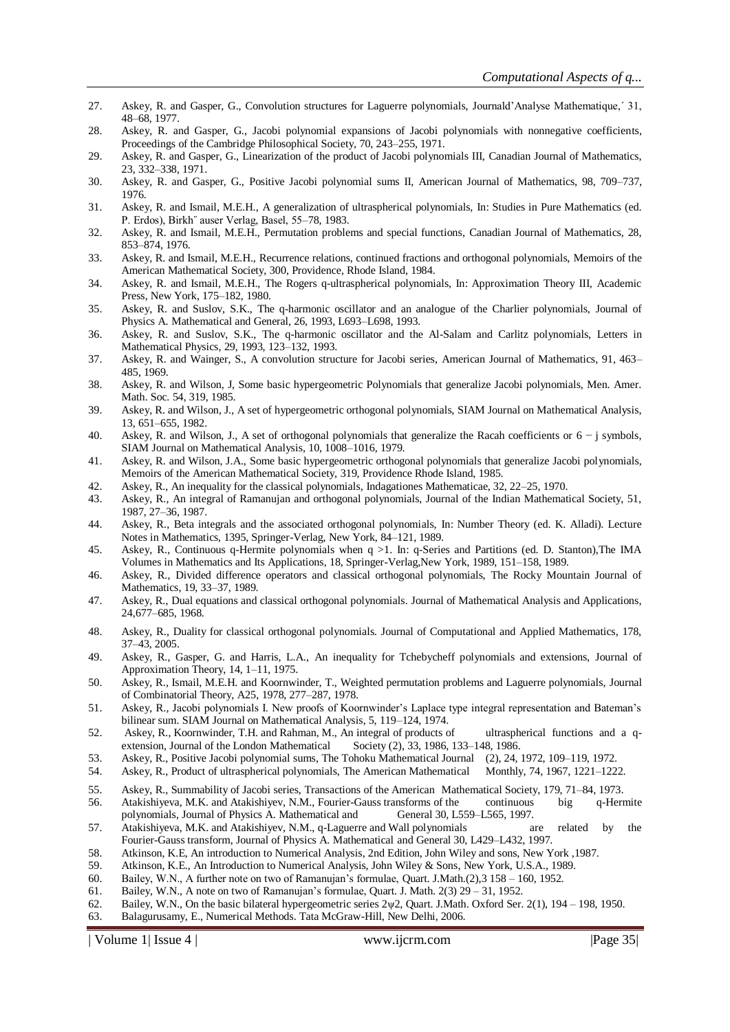- 27. Askey, R. and Gasper, G., Convolution structures for Laguerre polynomials, Journald'Analyse Mathematique,´ 31, 48–68, 1977.
- 28. Askey, R. and Gasper, G., Jacobi polynomial expansions of Jacobi polynomials with nonnegative coefficients, Proceedings of the Cambridge Philosophical Society, 70, 243–255, 1971.
- 29. Askey, R. and Gasper, G., Linearization of the product of Jacobi polynomials III, Canadian Journal of Mathematics, 23, 332–338, 1971.
- 30. Askey, R. and Gasper, G., Positive Jacobi polynomial sums II, American Journal of Mathematics, 98, 709–737, 1976.
- 31. Askey, R. and Ismail, M.E.H., A generalization of ultraspherical polynomials, In: Studies in Pure Mathematics (ed. P. Erdos), Birkh˝ auser Verlag, Basel, 55–78, 1983.
- 32. Askey, R. and Ismail, M.E.H., Permutation problems and special functions, Canadian Journal of Mathematics, 28, 853–874, 1976.
- 33. Askey, R. and Ismail, M.E.H., Recurrence relations, continued fractions and orthogonal polynomials, Memoirs of the American Mathematical Society, 300, Providence, Rhode Island, 1984.
- 34. Askey, R. and Ismail, M.E.H., The Rogers q-ultraspherical polynomials, In: Approximation Theory III, Academic Press, New York, 175–182, 1980.
- 35. Askey, R. and Suslov, S.K., The q-harmonic oscillator and an analogue of the Charlier polynomials, Journal of Physics A. Mathematical and General, 26, 1993, L693–L698, 1993.
- 36. Askey, R. and Suslov, S.K., The q-harmonic oscillator and the Al-Salam and Carlitz polynomials, Letters in Mathematical Physics, 29, 1993, 123–132, 1993.
- 37. Askey, R. and Wainger, S., A convolution structure for Jacobi series, American Journal of Mathematics, 91, 463– 485, 1969.
- 38. Askey, R. and Wilson, J, Some basic hypergeometric Polynomials that generalize Jacobi polynomials, Men. Amer. Math. Soc. 54, 319, 1985.
- 39. Askey, R. and Wilson, J., A set of hypergeometric orthogonal polynomials, SIAM Journal on Mathematical Analysis, 13, 651–655, 1982.
- 40. Askey, R. and Wilson, J., A set of orthogonal polynomials that generalize the Racah coefficients or 6 − j symbols, SIAM Journal on Mathematical Analysis, 10, 1008–1016, 1979.
- 41. Askey, R. and Wilson, J.A., Some basic hypergeometric orthogonal polynomials that generalize Jacobi polynomials, Memoirs of the American Mathematical Society, 319, Providence Rhode Island, 1985.
- 42. Askey, R., An inequality for the classical polynomials, Indagationes Mathematicae, 32, 22–25, 1970.
- 43. Askey, R., An integral of Ramanujan and orthogonal polynomials, Journal of the Indian Mathematical Society, 51, 1987, 27–36, 1987.
- 44. Askey, R., Beta integrals and the associated orthogonal polynomials, In: Number Theory (ed. K. Alladi). Lecture Notes in Mathematics, 1395, Springer-Verlag, New York, 84–121, 1989.
- 45. Askey, R., Continuous q-Hermite polynomials when q >1. In: q-Series and Partitions (ed. D. Stanton),The IMA Volumes in Mathematics and Its Applications, 18, Springer-Verlag,New York, 1989, 151–158, 1989.
- 46. Askey, R., Divided difference operators and classical orthogonal polynomials, The Rocky Mountain Journal of Mathematics, 19, 33–37, 1989.
- 47. Askey, R., Dual equations and classical orthogonal polynomials. Journal of Mathematical Analysis and Applications, 24,677–685, 1968.
- 48. Askey, R., Duality for classical orthogonal polynomials. Journal of Computational and Applied Mathematics, 178, 37–43, 2005.
- 49. Askey, R., Gasper, G. and Harris, L.A., An inequality for Tchebycheff polynomials and extensions, Journal of Approximation Theory, 14, 1–11, 1975.
- 50. Askey, R., Ismail, M.E.H. and Koornwinder, T., Weighted permutation problems and Laguerre polynomials, Journal of Combinatorial Theory, A25, 1978, 277–287, 1978.
- 51. Askey, R., Jacobi polynomials I. New proofs of Koornwinder's Laplace type integral representation and Bateman's bilinear sum. SIAM Journal on Mathematical Analysis, 5, 119–124, 1974.
- 52. Askey, R., Koornwinder, T.H. and Rahman, M., An integral of products of ultraspherical functions and a qextension, Journal of the London Mathematical Society (2), 33, 1986, 133–148, 1986.
- 53. Askey, R., Positive Jacobi polynomial sums, The Tohoku Mathematical Journal (2), 24, 1972, 109–119, 1972.
- 54. Askey, R., Product of ultraspherical polynomials, The American Mathematical Monthly, 74, 1967, 1221–1222.
- 55. Askey, R., Summability of Jacobi series, Transactions of the American Mathematical Society, 179, 71–84, 1973.
- 56. Atakishiyeva, M.K. and Atakishiyev, N.M., Fourier-Gauss transforms of the continuous big q-Hermite polynomials, Journal of Physics A. Mathematical and General 30, L559–L565, 1997.
- 57. Atakishiyeva, M.K. and Atakishiyev, N.M., q-Laguerre and Wall polynomials are related by the Fourier-Gauss transform, Journal of Physics A. Mathematical and General 30, L429–L432, 1997.
- 58. Atkinson, K.E, An introduction to Numerical Analysis, 2nd Edition, John Wiley and sons, New York ,1987.
- 59. Atkinson, K.E., An Introduction to Numerical Analysis, John Wiley & Sons, New York, U.S.A., 1989.
- 60. Bailey, W.N., A further note on two of Ramanujan's formulae, Quart. J.Math.(2),3 158 160, 1952.
- 61. Bailey, W.N., A note on two of Ramanujan's formulae, Quart. J. Math. 2(3) 29 31, 1952.
- 62. Bailey, W.N., On the basic bilateral hypergeometric series 2ψ2, Quart. J.Math. Oxford Ser. 2(1), 194 198, 1950.
- 63. Balagurusamy, E., Numerical Methods. Tata McGraw-Hill, New Delhi, 2006.

| Volume 1| Issue 4 | www.ijcrm.com | Page 35|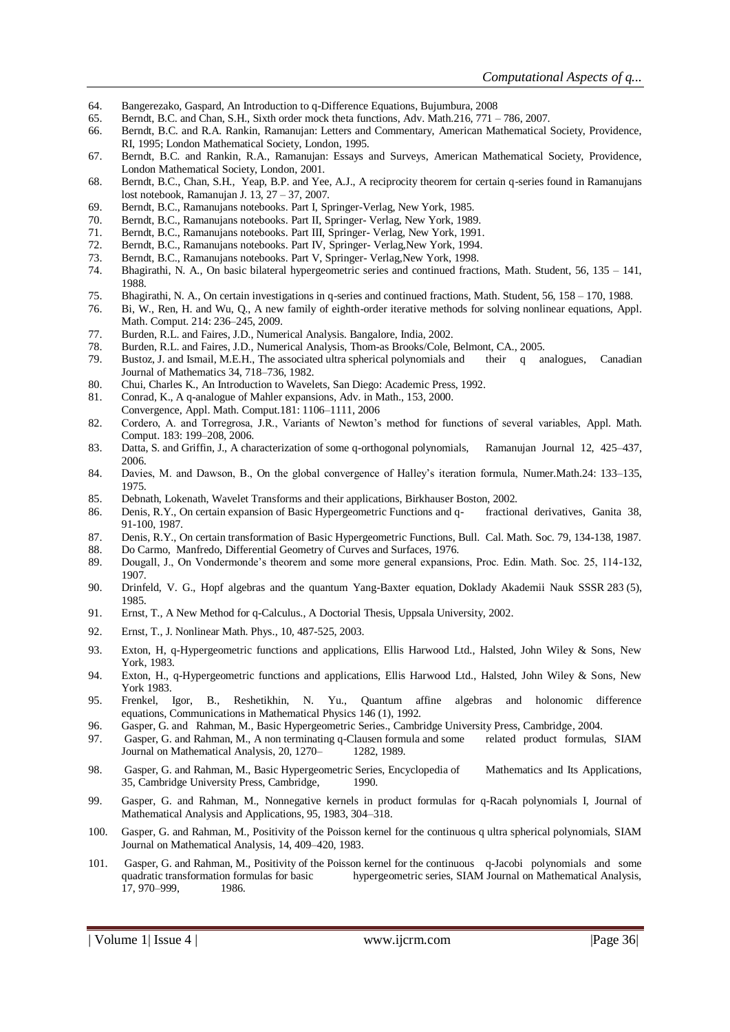- 64. Bangerezako, Gaspard, An Introduction to q-Difference Equations, Bujumbura, 2008
- 65. Berndt, B.C. and Chan, S.H., Sixth order mock theta functions, Adv. Math.216, 771 786, 2007.
- 66. Berndt, B.C. and R.A. Rankin, Ramanujan: Letters and Commentary, American Mathematical Society, Providence, RI, 1995; London Mathematical Society, London, 1995.
- 67. Berndt, B.C. and Rankin, R.A., Ramanujan: Essays and Surveys, American Mathematical Society, Providence, London Mathematical Society, London, 2001.
- 68. Berndt, B.C., Chan, S.H., Yeap, B.P. and Yee, A.J., A reciprocity theorem for certain q-series found in Ramanujans lost notebook, Ramanujan J. 13, 27 – 37, 2007.
- 69. Berndt, B.C., Ramanujans notebooks. Part I, Springer-Verlag, New York, 1985.
- Berndt, B.C., Ramanujans notebooks. Part II, Springer- Verlag, New York, 1989.
- 71. Berndt, B.C., Ramanujans notebooks. Part III, Springer- Verlag, New York, 1991.
- 72. Berndt, B.C., Ramanujans notebooks. Part IV, Springer- Verlag,New York, 1994.
- 73. Berndt, B.C., Ramanujans notebooks. Part V, Springer- Verlag,New York, 1998.
- 74. Bhagirathi, N. A., On basic bilateral hypergeometric series and continued fractions, Math. Student, 56, 135 141, 1988.
- 75. Bhagirathi, N. A., On certain investigations in q-series and continued fractions, Math. Student, 56, 158 170, 1988.
- 76. Bi, W., Ren, H. and Wu, Q., A new family of eighth-order iterative methods for solving nonlinear equations, Appl. Math. Comput. 214: 236–245, 2009.
- 77. Burden, R.L. and Faires, J.D., Numerical Analysis. Bangalore, India, 2002.
- 78. Burden, R.L. and Faires, J.D., Numerical Analysis, Thom-as Brooks/Cole, Belmont, CA., 2005.
- 79. Bustoz, J. and Ismail, M.E.H., The associated ultra spherical polynomials and their q analogues, Canadian Journal of Mathematics 34, 718–736, 1982.
- 80. Chui, Charles K., An Introduction to Wavelets, San Diego: Academic Press, 1992.
- 81. Conrad, K., A q-analogue of Mahler expansions, Adv. in Math., 153, 2000.
- Convergence, Appl. Math. Comput.181: 1106–1111, 2006
- 82. Cordero, A. and Torregrosa, J.R., Variants of Newton's method for functions of several variables, Appl. Math. Comput. 183: 199–208, 2006.
- 83. Datta, S. and Griffin, J., A characterization of some q-orthogonal polynomials, Ramanujan Journal 12, 425–437, 2006.
- 84. Davies, M. and Dawson, B., On the global convergence of Halley's iteration formula, Numer.Math.24: 133–135, 1975.
- 85. Debnath, Lokenath, Wavelet Transforms and their applications, Birkhauser Boston, 2002.
- 86. Denis, R.Y., On certain expansion of Basic Hypergeometric Functions and q- fractional derivatives, Ganita 38, 91-100, 1987.
- 87. Denis, R.Y., On certain transformation of Basic Hypergeometric Functions, Bull. Cal. Math. Soc. 79, 134-138, 1987.
- 88. Do Carmo, Manfredo, Differential Geometry of Curves and Surfaces, 1976.
- 89. Dougall, J., On Vondermonde's theorem and some more general expansions, Proc. Edin. Math. Soc. 25, 114-132, 1907.
- 90. Drinfeld, V. G., Hopf algebras and the quantum Yang-Baxter equation, Doklady Akademii Nauk SSSR 283 (5), 1985.
- 91. Ernst, T., A New Method for q-Calculus., A Doctorial Thesis, Uppsala University, 2002.
- 92. Ernst, T., J. Nonlinear Math. Phys., 10, 487-525, 2003.
- 93. Exton, H, q-Hypergeometric functions and applications, Ellis Harwood Ltd., Halsted, John Wiley & Sons, New York, 1983.
- 94. Exton, H., q-Hypergeometric functions and applications, Ellis Harwood Ltd., Halsted, John Wiley & Sons, New York 1983.
- 95. Frenkel, Igor, B., Reshetikhin, N. Yu., Quantum affine algebras and holonomic difference equations, Communications in Mathematical Physics 146 (1), 1992.
- 96. Gasper, G. and Rahman, M., Basic Hypergeometric Series., Cambridge University Press, Cambridge, 2004.
- 97. Gasper, G. and Rahman, M., A non terminating q-Clausen formula and some related product formulas, SIAM Journal on Mathematical Analysis, 20, 1270– 1282, 1989.
- 98. Gasper, G. and Rahman, M., Basic Hypergeometric Series, Encyclopedia of Mathematics and Its Applications, 35, Cambridge University Press, Cambridge, 1990.
- 99. Gasper, G. and Rahman, M., Nonnegative kernels in product formulas for q-Racah polynomials I, Journal of Mathematical Analysis and Applications, 95, 1983, 304–318.
- 100. Gasper, G. and Rahman, M., Positivity of the Poisson kernel for the continuous q ultra spherical polynomials, SIAM Journal on Mathematical Analysis, 14, 409–420, 1983.
- 101. Gasper, G. and Rahman, M., Positivity of the Poisson kernel for the continuous q-Jacobi polynomials and some quadratic transformation formulas for basic hypergeometric series, SIAM Journal on Mathematical Analysis, 17, 970–999, 1986.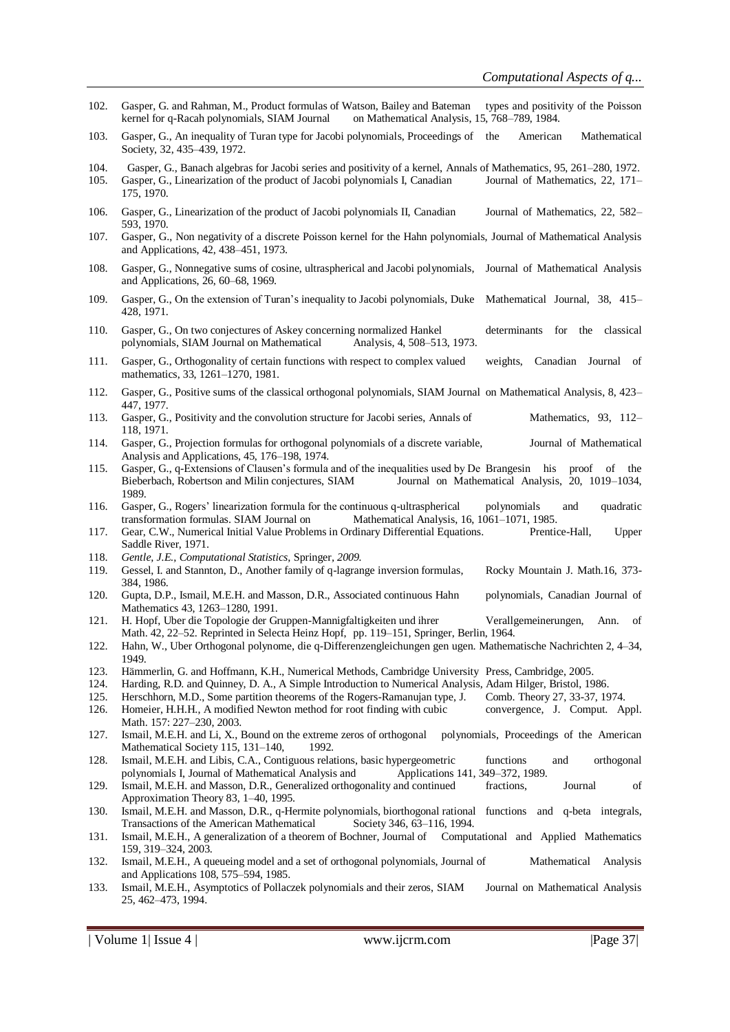- 102. Gasper, G. and Rahman, M., Product formulas of Watson, Bailey and Bateman types and positivity of the Poisson kernel for q-Racah polynomials, SIAM Journal on Mathematical Analysis, 15, 768–789, 1984.
- 103. Gasper, G., An inequality of Turan type for Jacobi polynomials, Proceedings of the American Mathematical Society, 32, 435–439, 1972.
- 104. Gasper, G., Banach algebras for Jacobi series and positivity of a kernel, Annals of Mathematics, 95, 261–280, 1972.<br>105. Gasper, G., Linearization of the product of Jacobi polynomials I. Canadian Journal of Mathematic Gasper, G., Linearization of the product of Jacobi polynomials I, Canadian Journal of Mathematics, 22, 171–
- 106. Gasper, G., Linearization of the product of Jacobi polynomials II, Canadian Journal of Mathematics, 22, 582– 593, 1970.
- 107. Gasper, G., Non negativity of a discrete Poisson kernel for the Hahn polynomials, Journal of Mathematical Analysis and Applications, 42, 438–451, 1973.
- 108. Gasper, G., Nonnegative sums of cosine, ultraspherical and Jacobi polynomials, Journal of Mathematical Analysis and Applications, 26, 60–68, 1969.
- 109. Gasper, G., On the extension of Turan's inequality to Jacobi polynomials, Duke Mathematical Journal, 38, 415– 428, 1971.
- 110. Gasper, G., On two conjectures of Askey concerning normalized Hankel determinants for the classical polynomials, SIAM Journal on Mathematical Analysis, 4, 508–513, 1973.
- 111. Gasper, G., Orthogonality of certain functions with respect to complex valued weights, Canadian Journal of mathematics, 33, 1261–1270, 1981.
- 112. Gasper, G., Positive sums of the classical orthogonal polynomials, SIAM Journal on Mathematical Analysis, 8, 423– 447, 1977.
- 113. Gasper, G., Positivity and the convolution structure for Jacobi series, Annals of Mathematics, 93, 112– 118, 1971.
- 114. Gasper, G., Projection formulas for orthogonal polynomials of a discrete variable, Journal of Mathematical Analysis and Applications, 45, 176–198, 1974.
- 115. Gasper, G., q-Extensions of Clausen's formula and of the inequalities used by De Brangesin his proof of the Bieberbach, Robertson and Milin conjectures, SIAM Journal on Mathematical Analysis, 20, 1019–1034, 1989.
- 116. Gasper, G., Rogers' linearization formula for the continuous q-ultraspherical polynomials and quadratic transformation formulas. SIAM Journal on Mathematical Analysis, 16, 1061–1071, 1985.
- 117. Gear, C.W., Numerical Initial Value Problems in Ordinary Differential Equations. Prentice-Hall, Upper Saddle River, 1971.
- 118. *Gentle, J.E., Computational Statistics,* Springer*, 2009.*
- 119. Gessel, I. and Stannton, D., Another family of q-lagrange inversion formulas, Rocky Mountain J. Math.16, 373- 384, 1986.
- 120. Gupta, D.P., Ismail, M.E.H. and Masson, D.R., Associated continuous Hahn polynomials, Canadian Journal of Mathematics 43, 1263–1280, 1991.
- 121. H. Hopf, Uber die Topologie der Gruppen-Mannigfaltigkeiten und ihrer Verallgemeinerungen, Ann. of Math. 42, 22–52. Reprinted in Selecta Heinz Hopf, pp. 119–151, Springer, Berlin, 1964.
- 122. Hahn, W., Uber Orthogonal polynome, die q-Differenzengleichungen gen ugen. Mathematische Nachrichten 2, 4–34, 1949.
- 123. Hämmerlin, G. and Hoffmann, K.H., Numerical Methods, Cambridge University Press, Cambridge, 2005.
- 124. Harding, R.D. and Quinney, D. A., A Simple Introduction to Numerical Analysis, Adam Hilger, Bristol, 1986.
- 125. Herschhorn, M.D., Some partition theorems of the Rogers-Ramanujan type, J. Comb. Theory 27, 33-37, 1974.
- 126. Homeier, H.H.H., A modified Newton method for root finding with cubic convergence, J. Comput. Appl. Math. 157: 227–230, 2003.
- 127. Ismail, M.E.H. and Li, X., Bound on the extreme zeros of orthogonal polynomials, Proceedings of the American Mathematical Society 115, 131-140, 1992.
- 128. Ismail, M.E.H. and Libis, C.A., Contiguous relations, basic hypergeometric functions and orthogonal polynomials I, Journal of Mathematical Analysis and Applications 141, 349–372, 1989.
- 129. Ismail, M.E.H. and Masson, D.R., Generalized orthogonality and continued fractions, Journal of Approximation Theory 83, 1–40, 1995.
- 130. Ismail, M.E.H. and Masson, D.R., q-Hermite polynomials, biorthogonal rational functions and q-beta integrals, Transactions of the American Mathematical Society 346, 63–116, 1994.
- 131. Ismail, M.E.H., A generalization of a theorem of Bochner, Journal of Computational and Applied Mathematics 159, 319–324, 2003.
- 132. Ismail, M.E.H., A queueing model and a set of orthogonal polynomials, Journal of Mathematical Analysis and Applications 108, 575–594, 1985.
- 133. Ismail, M.E.H., Asymptotics of Pollaczek polynomials and their zeros, SIAM Journal on Mathematical Analysis 25, 462–473, 1994.

175, 1970.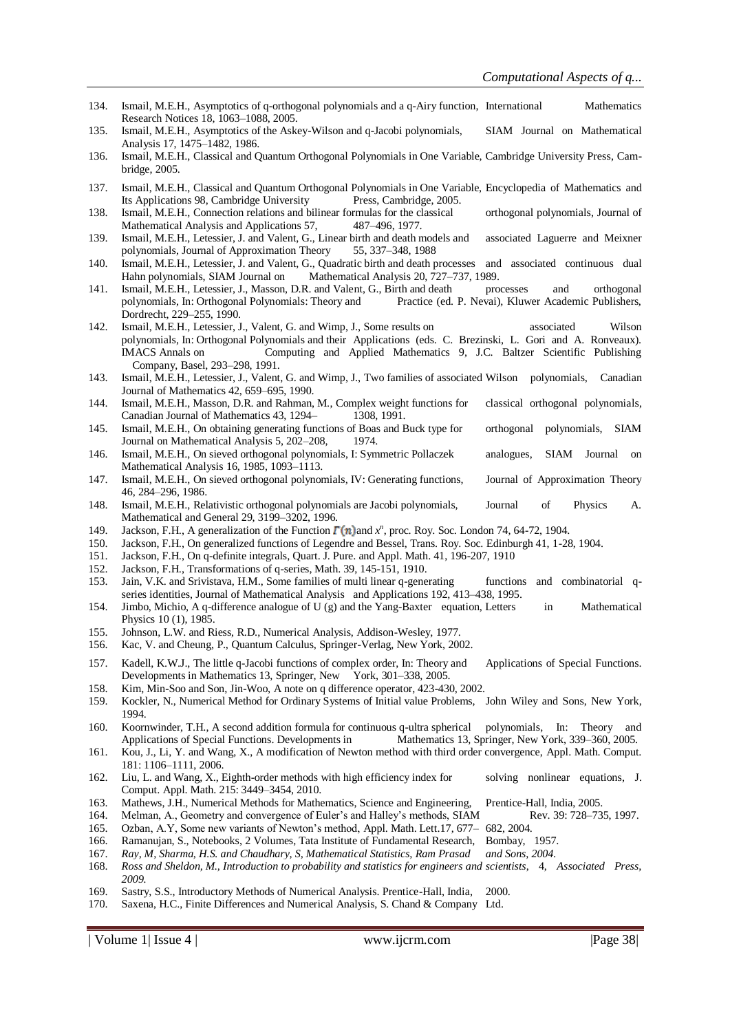- 134. Ismail, M.E.H., Asymptotics of q-orthogonal polynomials and a q-Airy function, International Mathematics Research Notices 18, 1063–1088, 2005.
- 135. Ismail, M.E.H., Asymptotics of the Askey-Wilson and q-Jacobi polynomials, SIAM Journal on Mathematical Analysis 17, 1475–1482, 1986.
- 136. Ismail, M.E.H., Classical and Quantum Orthogonal Polynomials in One Variable, Cambridge University Press, Cambridge, 2005.
- 137. Ismail, M.E.H., Classical and Quantum Orthogonal Polynomials in One Variable, Encyclopedia of Mathematics and Its Applications 98, Cambridge University Press, Cambridge, 2005.
- 138. Ismail, M.E.H., Connection relations and bilinear formulas for the classical orthogonal polynomials, Journal of Mathematical Analysis and Applications 57, 487–496, 1977.
- 139. Ismail, M.E.H., Letessier, J. and Valent, G., Linear birth and death models and associated Laguerre and Meixner polynomials, Journal of Approximation Theory 55, 337–348, 1988
- 140. Ismail, M.E.H., Letessier, J. and Valent, G., Quadratic birth and death processes and associated continuous dual Hahn polynomials, SIAM Journal on Mathematical Analysis 20, 727–737, 1989.
- 141. Ismail, M.E.H., Letessier, J., Masson, D.R. and Valent, G., Birth and death processes and orthogonal polynomials, In: Orthogonal Polynomials: Theory and Practice (ed. P. Nevai), Kluwer Academic Publishers, Dordrecht, 229–255, 1990.
- 142. Ismail, M.E.H., Letessier, J., Valent, G. and Wimp, J., Some results on associated Wilson polynomials, In: Orthogonal Polynomials and their Applications (eds. C. Brezinski, L. Gori and A. Ronveaux). IMACS Annals on Computing and Applied Mathematics 9, J.C. Baltzer Scientific Publishing Company, Basel, 293–298, 1991.
- 143. Ismail, M.E.H., Letessier, J., Valent, G. and Wimp, J., Two families of associated Wilson polynomials, Canadian Journal of Mathematics 42, 659–695, 1990.
- 144. Ismail, M.E.H., Masson, D.R. and Rahman, M., Complex weight functions for classical orthogonal polynomials, Canadian Journal of Mathematics 43, 1294–1308, 1991.
- 145. Ismail, M.E.H., On obtaining generating functions of Boas and Buck type for orthogonal polynomials, SIAM Journal on Mathematical Analysis 5, 202–208, 1974.
- 146. Ismail, M.E.H., On sieved orthogonal polynomials, I: Symmetric Pollaczek analogues, SIAM Journal on Mathematical Analysis 16, 1985, 1093–1113.
- 147. Ismail, M.E.H., On sieved orthogonal polynomials, IV: Generating functions, Journal of Approximation Theory 46, 284–296, 1986.
- 148. Ismail, M.E.H., Relativistic orthogonal polynomials are Jacobi polynomials, Journal of Physics A. Mathematical and General 29, 3199–3202, 1996.
- 149. Jackson, F.H., A generalization of the Function  $\Gamma(n)$  and  $x^n$ , proc. Roy. Soc. London 74, 64-72, 1904.
- 150. Jackson, F.H., On generalized functions of Legendre and Bessel, Trans. Roy. Soc. Edinburgh 41, 1-28, 1904.
- 151. Jackson, F.H., On q-definite integrals, Quart. J. Pure. and Appl. Math. 41, 196-207, 1910
- 152. Jackson, F.H., Transformations of q-series, Math. 39, 145-151, 1910.
- 153. Jain, V.K. and Srivistava, H.M., Some families of multi linear q-generating functions and combinatorial qseries identities, Journal of Mathematical Analysis and Applications 192, 413–438, 1995.
- 154. Jimbo, Michio, A q-difference analogue of U (g) and the Yang-Baxter equation, Letters in Mathematical Physics 10 (1), 1985.
- 155. Johnson, L.W. and Riess, R.D., Numerical Analysis, Addison-Wesley, 1977.
- 156. Kac, V. and Cheung, P., Quantum Calculus, Springer-Verlag, New York, 2002.
- 157. Kadell, K.W.J., The little q-Jacobi functions of complex order, In: Theory and Applications of Special Functions. Developments in Mathematics 13, Springer, New York, 301–338, 2005.
- 158. Kim, Min-Soo and Son, Jin-Woo, A note on q difference operator, 423-430, 2002.
- 159. Kockler, N., Numerical Method for Ordinary Systems of Initial value Problems, John Wiley and Sons, New York, 1994.
- 160. Koornwinder, T.H., A second addition formula for continuous q-ultra spherical polynomials, In: Theory and Applications of Special Functions. Developments in Mathematics 13, Springer, New York, 339–360, 2005.
- 161. Kou, J., Li, Y. and Wang, X., A modification of Newton method with third order convergence, Appl. Math. Comput. 181: 1106–1111, 2006.
- 162. Liu, L. and Wang, X., Eighth-order methods with high efficiency index for solving nonlinear equations, J. Comput. Appl. Math. 215: 3449–3454, 2010.
- 163. Mathews, J.H., Numerical Methods for Mathematics, Science and Engineering, Prentice-Hall, India, 2005.
- 164. Melman, A., Geometry and convergence of Euler's and Halley's methods, SIAM Rev. 39: 728–735, 1997.
- 165. Ozban, A.Y, Some new variants of Newton's method, Appl. Math. Lett.17, 677– 682, 2004.
- 166. Ramanujan, S., Notebooks, 2 Volumes, Tata Institute of Fundamental Research, Bombay, 1957.
- 167. *Ray, M, Sharma, H.S. and Chaudhary, S, Mathematical Statistics, Ram Prasad and Sons, 2004.*
- 168. *Ross and Sheldon, M., Introduction to probability and statistics for engineers and scientists*, 4, *Associated Press, 2009.*
- 169. Sastry, S.S., Introductory Methods of Numerical Analysis. Prentice-Hall, India, 2000.
- 170. Saxena, H.C., Finite Differences and Numerical Analysis, S. Chand & Company Ltd.